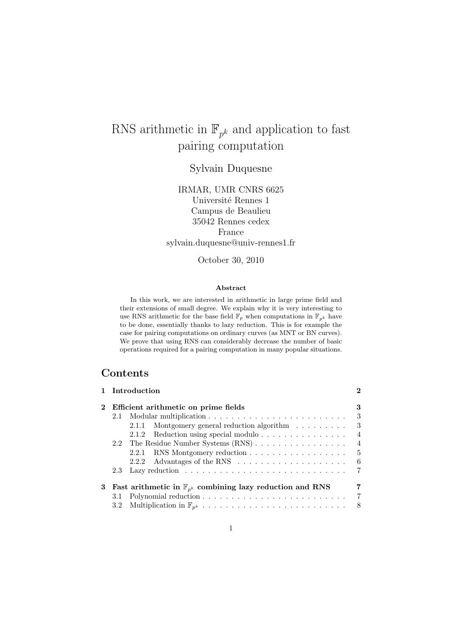# RNS arithmetic in  $\mathbb{F}_{p^k}$  and application to fast pairing computation

## Sylvain Duquesne

IRMAR, UMR CNRS 6625 Université Rennes 1 Campus de Beaulieu 35042 Rennes cedex France sylvain.duquesne@univ-rennes1.fr

October 30, 2010

#### Abstract

In this work, we are interested in arithmetic in large prime field and their extensions of small degree. We explain why it is very interesting to use RNS arithmetic for the base field  $\mathbb{F}_p$  when computations in  $\mathbb{F}_{p^k}$  have to be done, essentially thanks to lazy reduction. This is for example the case for pairing computations on ordinary curves (as MNT or BN curves). We prove that using RNS can considerably decrease the number of basic operations required for a pairing computation in many popular situations.

### Contents

|              | 1 Introduction                                                          | $\bf{2}$       |  |  |  |  |  |
|--------------|-------------------------------------------------------------------------|----------------|--|--|--|--|--|
| $\mathbf{2}$ | Efficient arithmetic on prime fields                                    |                |  |  |  |  |  |
|              | 2.1                                                                     | 3              |  |  |  |  |  |
|              | Montgomery general reduction algorithm<br>2.1.1                         | 3              |  |  |  |  |  |
|              | 2.1.2 Reduction using special modulo                                    | $\overline{4}$ |  |  |  |  |  |
|              | The Residue Number Systems (RNS)<br>$2.2^{\circ}$                       | $\overline{4}$ |  |  |  |  |  |
|              | 2.2.1 RNS Montgomery reduction                                          | 5              |  |  |  |  |  |
|              | 2.2.2 Advantages of the RNS $\ldots \ldots \ldots \ldots \ldots \ldots$ | 6              |  |  |  |  |  |
|              | 2.3                                                                     | 7              |  |  |  |  |  |
| 3            | Fast arithmetic in $\mathbb{F}_{p^k}$ combining lazy reduction and RNS  |                |  |  |  |  |  |
|              | 3.1                                                                     | 7              |  |  |  |  |  |
|              | 3.2                                                                     | 8              |  |  |  |  |  |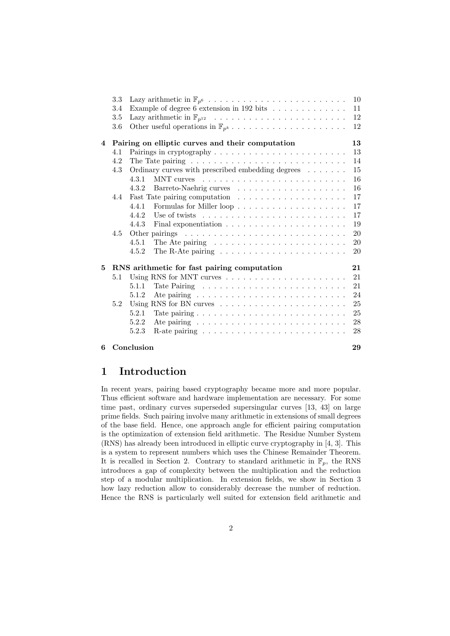|                | 3.3     |                                                                                         | 10 |  |  |  |  |  |  |
|----------------|---------|-----------------------------------------------------------------------------------------|----|--|--|--|--|--|--|
|                | 3.4     | Example of degree 6 extension in 192 bits                                               | 11 |  |  |  |  |  |  |
|                | $3.5\,$ |                                                                                         | 12 |  |  |  |  |  |  |
|                | 3.6     |                                                                                         | 12 |  |  |  |  |  |  |
| $\overline{4}$ |         | Pairing on elliptic curves and their computation<br>13                                  |    |  |  |  |  |  |  |
|                | 4.1     |                                                                                         | 13 |  |  |  |  |  |  |
|                | 4.2     | The Tate pairing $\ldots \ldots \ldots \ldots \ldots \ldots \ldots \ldots \ldots$       | 14 |  |  |  |  |  |  |
|                | 4.3     | Ordinary curves with prescribed embedding degrees                                       | 15 |  |  |  |  |  |  |
|                |         | 4.3.1                                                                                   | 16 |  |  |  |  |  |  |
|                |         | 4.3.2                                                                                   | 16 |  |  |  |  |  |  |
|                | 4.4     |                                                                                         | 17 |  |  |  |  |  |  |
|                |         | 4.4.1                                                                                   | 17 |  |  |  |  |  |  |
|                |         | 4.4.2                                                                                   | 17 |  |  |  |  |  |  |
|                |         | 4.4.3                                                                                   | 19 |  |  |  |  |  |  |
|                | 4.5     |                                                                                         | 20 |  |  |  |  |  |  |
|                |         | 4.5.1<br>The Ate pairing $\dots \dots \dots \dots \dots \dots \dots \dots$              | 20 |  |  |  |  |  |  |
|                |         | 4.5.2<br>The R-Ate pairing $\ldots \ldots \ldots \ldots \ldots \ldots \ldots$           | 20 |  |  |  |  |  |  |
| 5              |         | RNS arithmetic for fast pairing computation                                             | 21 |  |  |  |  |  |  |
|                | 5.1     |                                                                                         | 21 |  |  |  |  |  |  |
|                |         | 5.1.1                                                                                   | 21 |  |  |  |  |  |  |
|                |         | 5.1.2                                                                                   | 24 |  |  |  |  |  |  |
|                | 5.2     |                                                                                         | 25 |  |  |  |  |  |  |
|                |         | 5.2.1                                                                                   | 25 |  |  |  |  |  |  |
|                |         | 5.2.2                                                                                   | 28 |  |  |  |  |  |  |
|                |         | 5.2.3<br>R-ate pairing $\ldots \ldots \ldots \ldots \ldots \ldots \ldots \ldots \ldots$ | 28 |  |  |  |  |  |  |
| 6              |         | Conclusion                                                                              | 29 |  |  |  |  |  |  |

## 1 Introduction

In recent years, pairing based cryptography became more and more popular. Thus efficient software and hardware implementation are necessary. For some time past, ordinary curves superseded supersingular curves [13, 43] on large prime fields. Such pairing involve many arithmetic in extensions of small degrees of the base field. Hence, one approach angle for efficient pairing computation is the optimization of extension field arithmetic. The Residue Number System (RNS) has already been introduced in elliptic curve cryptography in [4, 3]. This is a system to represent numbers which uses the Chinese Remainder Theorem. It is recalled in Section 2. Contrary to standard arithmetic in  $\mathbb{F}_p$ , the RNS introduces a gap of complexity between the multiplication and the reduction step of a modular multiplication. In extension fields, we show in Section 3 how lazy reduction allow to considerably decrease the number of reduction. Hence the RNS is particularly well suited for extension field arithmetic and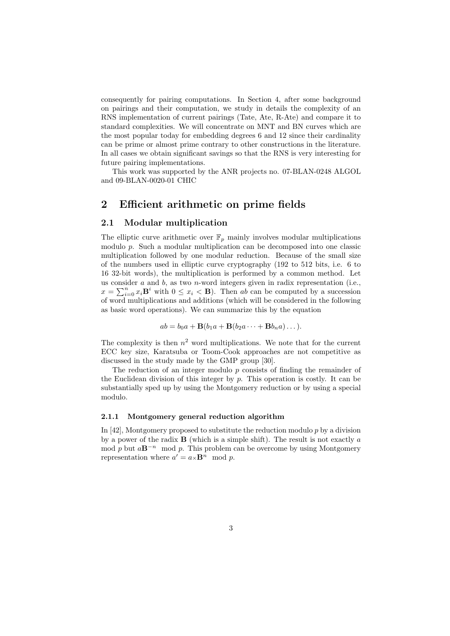consequently for pairing computations. In Section 4, after some background on pairings and their computation, we study in details the complexity of an RNS implementation of current pairings (Tate, Ate, R-Ate) and compare it to standard complexities. We will concentrate on MNT and BN curves which are the most popular today for embedding degrees 6 and 12 since their cardinality can be prime or almost prime contrary to other constructions in the literature. In all cases we obtain significant savings so that the RNS is very interesting for future pairing implementations.

This work was supported by the ANR projects no. 07-BLAN-0248 ALGOL and 09-BLAN-0020-01 CHIC

### 2 Efficient arithmetic on prime fields

#### 2.1 Modular multiplication

The elliptic curve arithmetic over  $\mathbb{F}_p$  mainly involves modular multiplications modulo p. Such a modular multiplication can be decomposed into one classic multiplication followed by one modular reduction. Because of the small size of the numbers used in elliptic curve cryptography (192 to 512 bits, i.e. 6 to 16 32-bit words), the multiplication is performed by a common method. Let us consider  $a$  and  $b$ , as two *n*-word integers given in radix representation (i.e.,  $x = \sum_{i=0}^{n} x_i \mathbf{B}^i$  with  $0 \le x_i < \mathbf{B}$ ). Then ab can be computed by a succession of word multiplications and additions (which will be considered in the following as basic word operations). We can summarize this by the equation

$$
ab = b_0a + \mathbf{B}(b_1a + \mathbf{B}(b_2a \cdots + \mathbf{B}b_na) \dots).
$$

The complexity is then  $n^2$  word multiplications. We note that for the current ECC key size, Karatsuba or Toom-Cook approaches are not competitive as discussed in the study made by the GMP group [30].

The reduction of an integer modulo  $p$  consists of finding the remainder of the Euclidean division of this integer by  $p$ . This operation is costly. It can be substantially sped up by using the Montgomery reduction or by using a special modulo.

#### 2.1.1 Montgomery general reduction algorithm

In [42], Montgomery proposed to substitute the reduction modulo  $p$  by a division by a power of the radix  $\bf{B}$  (which is a simple shift). The result is not exactly a mod p but  $a\mathbf{B}^{-n}$  mod p. This problem can be overcome by using Montgomery representation where  $a' = a \times \mathbf{B}^n \mod p$ .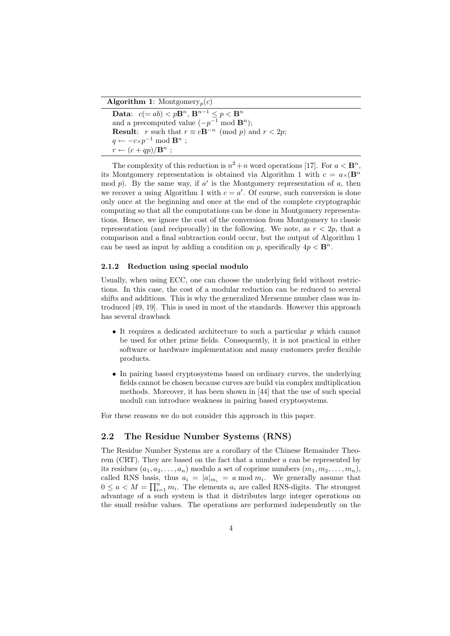**Algorithm 1:** Montgomery<sub>p</sub> $(c)$ 

Data:  $c(=ab) < pB^n$ ,  $B^{n-1} \le p < B^n$ and a precomputed value  $(-p^{-1} \mod B^n);$ **Result:** r such that  $r \equiv c\mathbf{B}^{-n} \pmod{p}$  and  $r < 2p$ ;  $q \leftarrow -c \times p^{-1} \bmod{\mathbf{B}^n}$ ;  $r \leftarrow (c + qp)/\mathbf{B}^n$ ;

The complexity of this reduction is  $n^2 + n$  word operations [17]. For  $a < \mathbf{B}^n$ , its Montgomery representation is obtained via Algorithm 1 with  $c = a \times (\mathbf{B}^n)$ mod  $p$ ). By the same way, if  $a'$  is the Montgomery representation of  $a$ , then we recover a using Algorithm 1 with  $c = a'$ . Of course, such conversion is done only once at the beginning and once at the end of the complete cryptographic computing so that all the computations can be done in Montgomery representations. Hence, we ignore the cost of the conversion from Montgomery to classic representation (and reciprocally) in the following. We note, as  $r < 2p$ , that a comparison and a final subtraction could occur, but the output of Algorithm 1 can be used as input by adding a condition on p, specifically  $4p < \mathbf{B}^n$ .

#### 2.1.2 Reduction using special modulo

Usually, when using ECC, one can choose the underlying field without restrictions. In this case, the cost of a modular reduction can be reduced to several shifts and additions. This is why the generalized Mersenne number class was introduced [49, 19]. This is used in most of the standards. However this approach has several drawback

- It requires a dedicated architecture to such a particular p which cannot be used for other prime fields. Consequently, it is not practical in either software or hardware implementation and many customers prefer flexible products.
- In pairing based cryptosystems based on ordinary curves, the underlying fields cannot be chosen because curves are build via complex multiplication methods. Moreover, it has been shown in [44] that the use of such special moduli can introduce weakness in pairing based cryptosystems.

For these reasons we do not consider this approach in this paper.

#### 2.2 The Residue Number Systems (RNS)

The Residue Number Systems are a corollary of the Chinese Remainder Theorem (CRT). They are based on the fact that a number  $a$  can be represented by its residues  $(a_1, a_2, \ldots, a_n)$  modulo a set of coprime numbers  $(m_1, m_2, \ldots, m_n)$ , called RNS basis, thus  $a_i = |a|_{m_i} = a \mod m_i$ . We generally assume that  $0 \le a < M = \prod_{i=1}^n m_i$ . The elements  $a_i$  are called RNS-digits. The strongest advantage of a such system is that it distributes large integer operations on the small residue values. The operations are performed independently on the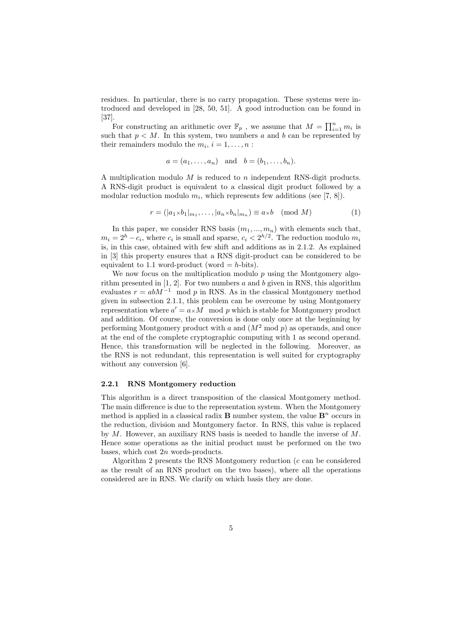residues. In particular, there is no carry propagation. These systems were introduced and developed in [28, 50, 51]. A good introduction can be found in [37].

For constructing an arithmetic over  $\mathbb{F}_p$ , we assume that  $M = \prod_{i=1}^n m_i$  is such that  $p \lt M$ . In this system, two numbers a and b can be represented by their remainders modulo the  $m_i$ ,  $i = 1, \ldots, n$ :

$$
a = (a_1, ..., a_n)
$$
 and  $b = (b_1, ..., b_n)$ .

A multiplication modulo  $M$  is reduced to  $n$  independent RNS-digit products. A RNS-digit product is equivalent to a classical digit product followed by a modular reduction modulo  $m_i$ , which represents few additions (see [7, 8]).

$$
r = (|a_1 \times b_1|_{m_1}, \dots, |a_n \times b_n|_{m_n}) \equiv a \times b \pmod{M} \tag{1}
$$

In this paper, we consider RNS basis  $(m_1, ..., m_n)$  with elements such that,  $m_i = 2<sup>h</sup> - c_i$ , where  $c_i$  is small and sparse,  $c_i < 2<sup>h/2</sup>$ . The reduction modulo  $m_i$ is, in this case, obtained with few shift and additions as in 2.1.2. As explained in [3] this property ensures that a RNS digit-product can be considered to be equivalent to 1.1 word-product (word  $= h$ -bits).

We now focus on the multiplication modulo  $p$  using the Montgomery algorithm presented in  $[1, 2]$ . For two numbers a and b given in RNS, this algorithm evaluates  $r = abM^{-1}$  mod p in RNS. As in the classical Montgomery method given in subsection 2.1.1, this problem can be overcome by using Montgomery representation where  $a' = a \times M \mod p$  which is stable for Montgomery product and addition. Of course, the conversion is done only once at the beginning by performing Montgomery product with a and  $(M^2 \text{ mod } p)$  as operands, and once at the end of the complete cryptographic computing with 1 as second operand. Hence, this transformation will be neglected in the following. Moreover, as the RNS is not redundant, this representation is well suited for cryptography without any conversion [6].

#### 2.2.1 RNS Montgomery reduction

This algorithm is a direct transposition of the classical Montgomery method. The main difference is due to the representation system. When the Montgomery method is applied in a classical radix **B** number system, the value  $\mathbf{B}^n$  occurs in the reduction, division and Montgomery factor. In RNS, this value is replaced by  $M$ . However, an auxiliary RNS basis is needed to handle the inverse of  $M$ . Hence some operations as the initial product must be performed on the two bases, which cost  $2n$  words-products.

Algorithm 2 presents the RNS Montgomery reduction  $(c \text{ can be considered})$ as the result of an RNS product on the two bases), where all the operations considered are in RNS. We clarify on which basis they are done.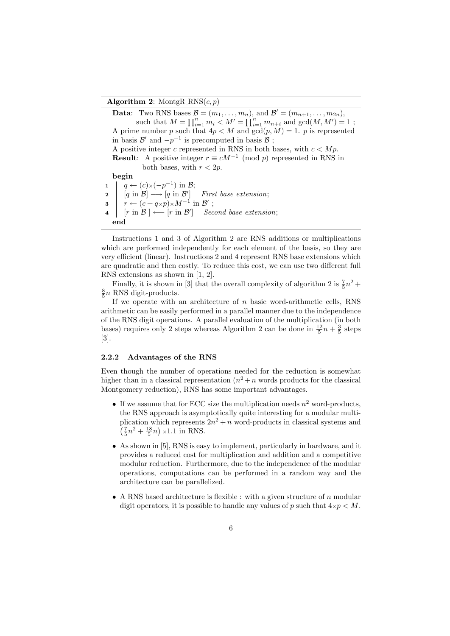#### Algorithm 2: MontgR\_RNS $(c, p)$

**Data:** Two RNS bases  $\mathcal{B} = (m_1, \ldots, m_n)$ , and  $\mathcal{B}' = (m_{n+1}, \ldots, m_{2n})$ , such that  $M = \prod_{i=1}^n m_i \leq M' = \prod_{i=1}^n m_{n+i}$  and  $gcd(M, M') = 1$ ; A prime number p such that  $4p < M$  and  $gcd(p, M) = 1$ . p is represented in basis  $\mathcal{B}'$  and  $-p^{-1}$  is precomputed in basis  $\mathcal{B}$ ; A positive integer c represented in RNS in both bases, with  $c < Mp$ . **Result:** A positive integer  $r \equiv cM^{-1} \pmod{p}$  represented in RNS in both bases, with  $r < 2p$ . begin  $1 \mid q \leftarrow (c) \times (-p^{-1}) \text{ in } \mathcal{B};$  $2 \mid [q \text{ in } \mathcal{B}] \longrightarrow [q \text{ in } \mathcal{B}']$  First base extension;  $s \mid r \leftarrow (c + q \times p) \times M^{-1}$  in  $\mathcal{B}'$ ;  $[r \text{ in } \mathcal{B}] \longleftarrow [r \text{ in } \mathcal{B}']$ 4  $[r \text{ in } \mathcal{B}] \longleftarrow [r \text{ in } \mathcal{B}']$  Second base extension: end

Instructions 1 and 3 of Algorithm 2 are RNS additions or multiplications which are performed independently for each element of the basis, so they are very efficient (linear). Instructions 2 and 4 represent RNS base extensions which are quadratic and then costly. To reduce this cost, we can use two different full RNS extensions as shown in [1, 2].

Finally, it is shown in [3] that the overall complexity of algorithm 2 is  $\frac{7}{5}n^2 +$  $\frac{8}{5}n$  RNS digit-products.

If we operate with an architecture of  $n$  basic word-arithmetic cells, RNS arithmetic can be easily performed in a parallel manner due to the independence of the RNS digit operations. A parallel evaluation of the multiplication (in both bases) requires only 2 steps whereas Algorithm 2 can be done in  $\frac{12}{5}n + \frac{3}{5}$  steps [3].

#### 2.2.2 Advantages of the RNS

Even though the number of operations needed for the reduction is somewhat higher than in a classical representation  $(n^2 + n)$  words products for the classical Montgomery reduction), RNS has some important advantages.

- If we assume that for ECC size the multiplication needs  $n^2$  word-products, the RNS approach is asymptotically quite interesting for a modular multiplication which represents  $2n^2 + n$  word-products in classical systems and  $\left(\frac{7}{5}n^2 + \frac{18}{5}n\right) \times 1.1$  in RNS.
- As shown in [5], RNS is easy to implement, particularly in hardware, and it provides a reduced cost for multiplication and addition and a competitive modular reduction. Furthermore, due to the independence of the modular operations, computations can be performed in a random way and the architecture can be parallelized.
- A RNS based architecture is flexible : with a given structure of  $n$  modular digit operators, it is possible to handle any values of p such that  $4 \times p \times M$ .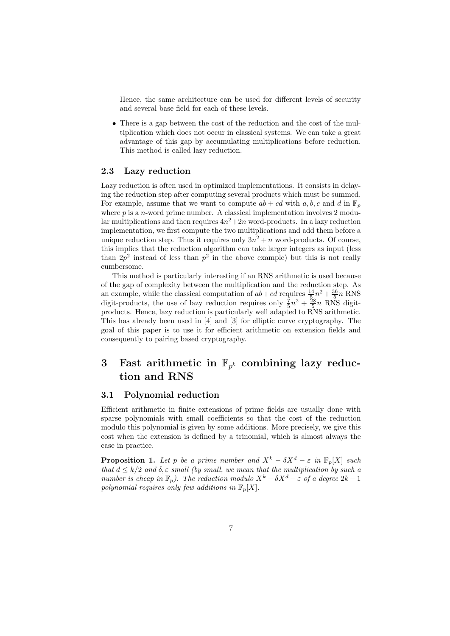Hence, the same architecture can be used for different levels of security and several base field for each of these levels.

• There is a gap between the cost of the reduction and the cost of the multiplication which does not occur in classical systems. We can take a great advantage of this gap by accumulating multiplications before reduction. This method is called lazy reduction.

#### 2.3 Lazy reduction

Lazy reduction is often used in optimized implementations. It consists in delaying the reduction step after computing several products which must be summed. For example, assume that we want to compute  $ab + cd$  with  $a, b, c$  and d in  $\mathbb{F}_p$ where  $p$  is a *n*-word prime number. A classical implementation involves  $2 \text{ mod } 4$ lar multiplications and then requires  $4n^2+2n$  word-products. In a lazy reduction implementation, we first compute the two multiplications and add them before a unique reduction step. Thus it requires only  $3n^2 + n$  word-products. Of course, this implies that the reduction algorithm can take larger integers as input (less than  $2p^2$  instead of less than  $p^2$  in the above example) but this is not really cumbersome.

This method is particularly interesting if an RNS arithmetic is used because of the gap of complexity between the multiplication and the reduction step. As an example, while the classical computation of  $ab + cd$  requires  $\frac{14}{5}n^2 + \frac{36}{5}n$  RNS digit-products, the use of lazy reduction requires only  $\frac{7}{5}n^2 + \frac{28}{5}n$  RNS digitproducts. Hence, lazy reduction is particularly well adapted to RNS arithmetic. This has already been used in [4] and [3] for elliptic curve cryptography. The goal of this paper is to use it for efficient arithmetic on extension fields and consequently to pairing based cryptography.

## 3 Fast arithmetic in  $\mathbb{F}_{p^k}$  combining lazy reduction and RNS

### 3.1 Polynomial reduction

Efficient arithmetic in finite extensions of prime fields are usually done with sparse polynomials with small coefficients so that the cost of the reduction modulo this polynomial is given by some additions. More precisely, we give this cost when the extension is defined by a trinomial, which is almost always the case in practice.

**Proposition 1.** Let p be a prime number and  $X^k - \delta X^d - \varepsilon$  in  $\mathbb{F}_p[X]$  such that  $d \leq k/2$  and  $\delta \in \mathcal{S}$  small (by small, we mean that the multiplication by such a number is cheap in  $\mathbb{F}_p$ ). The reduction modulo  $X^k - \delta X^d - \varepsilon$  of a degree  $2k - 1$ polynomial requires only few additions in  $\mathbb{F}_p[X]$ .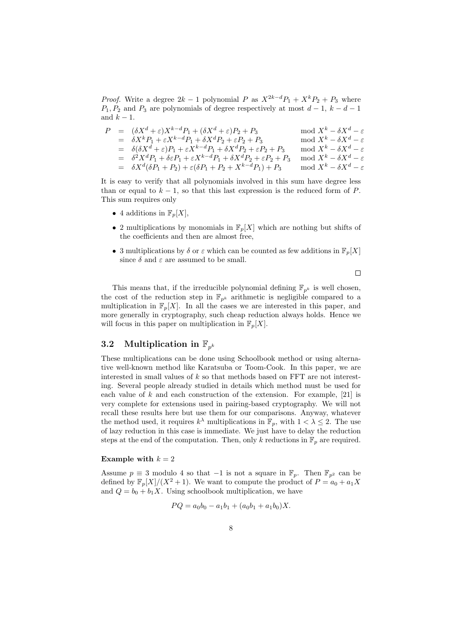*Proof.* Write a degree  $2k - 1$  polynomial P as  $X^{2k-d}P_1 + X^kP_2 + P_3$  where  $P_1, P_2$  and  $P_3$  are polynomials of degree respectively at most  $d-1$ ,  $k-d-1$ and  $k-1$ .

|  | $P = (\delta X^d + \varepsilon) X^{k-d} P_1 + (\delta X^d + \varepsilon) P_2 + P_3$                              | mod $X^k - \delta X^d - \varepsilon$ |
|--|------------------------------------------------------------------------------------------------------------------|--------------------------------------|
|  | $= \delta X^k P_1 + \varepsilon X^{k-d} P_1 + \delta X^d P_2 + \varepsilon P_2 + P_3$                            | mod $X^k - \delta X^d - \varepsilon$ |
|  | $= \delta(\delta X^d + \varepsilon)P_1 + \varepsilon X^{k-d}P_1 + \delta X^d P_2 + \varepsilon P_2 + P_3$        | mod $X^k - \delta X^d - \varepsilon$ |
|  | $= \delta^2 X^d P_1 + \delta \varepsilon P_1 + \varepsilon X^{k-d} P_1 + \delta X^d P_2 + \varepsilon P_2 + P_3$ | mod $X^k - \delta X^d - \varepsilon$ |
|  | $= \delta X^d(\delta P_1 + P_2) + \varepsilon (\delta P_1 + P_2 + X^{k-d} P_1) + P_3$                            | mod $X^k - \delta X^d - \varepsilon$ |

It is easy to verify that all polynomials involved in this sum have degree less than or equal to  $k - 1$ , so that this last expression is the reduced form of P. This sum requires only

- 4 additions in  $\mathbb{F}_p[X]$ ,
- 2 multiplications by monomials in  $\mathbb{F}_p[X]$  which are nothing but shifts of the coefficients and then are almost free,
- 3 multiplications by  $\delta$  or  $\varepsilon$  which can be counted as few additions in  $\mathbb{F}_p[X]$ since  $\delta$  and  $\varepsilon$  are assumed to be small.

 $\Box$ 

This means that, if the irreducible polynomial defining  $\mathbb{F}_{p^k}$  is well chosen, the cost of the reduction step in  $\mathbb{F}_{p^k}$  arithmetic is negligible compared to a multiplication in  $\mathbb{F}_p[X]$ . In all the cases we are interested in this paper, and more generally in cryptography, such cheap reduction always holds. Hence we will focus in this paper on multiplication in  $\mathbb{F}_p[X]$ .

## 3.2 Multiplication in  $\mathbb{F}_{p^k}$

These multiplications can be done using Schoolbook method or using alternative well-known method like Karatsuba or Toom-Cook. In this paper, we are interested in small values of  $k$  so that methods based on  $\text{FFT}$  are not interesting. Several people already studied in details which method must be used for each value of  $k$  and each construction of the extension. For example, [21] is very complete for extensions used in pairing-based cryptography. We will not recall these results here but use them for our comparisons. Anyway, whatever the method used, it requires  $k^{\lambda}$  multiplications in  $\mathbb{F}_p$ , with  $1 < \lambda \leq 2$ . The use of lazy reduction in this case is immediate. We just have to delay the reduction steps at the end of the computation. Then, only k reductions in  $\mathbb{F}_p$  are required.

#### Example with  $k = 2$

Assume  $p \equiv 3$  modulo 4 so that  $-1$  is not a square in  $\mathbb{F}_p$ . Then  $\mathbb{F}_{p^2}$  can be defined by  $\mathbb{F}_p[X]/(X^2+1)$ . We want to compute the product of  $P = a_0 + a_1X$ and  $Q = b_0 + b_1 X$ . Using schoolbook multiplication, we have

$$
PQ = a_0b_0 - a_1b_1 + (a_0b_1 + a_1b_0)X.
$$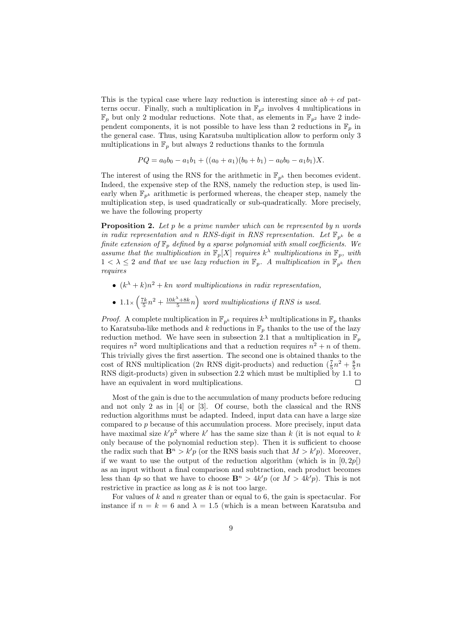This is the typical case where lazy reduction is interesting since  $ab + cd$  patterns occur. Finally, such a multiplication in  $\mathbb{F}_{p^2}$  involves 4 multiplications in  $\mathbb{F}_p$  but only 2 modular reductions. Note that, as elements in  $\mathbb{F}_{p^2}$  have 2 independent components, it is not possible to have less than 2 reductions in  $\mathbb{F}_p$  in the general case. Thus, using Karatsuba multiplication allow to perform only 3 multiplications in  $\mathbb{F}_p$  but always 2 reductions thanks to the formula

$$
PQ = a_0b_0 - a_1b_1 + ((a_0 + a_1)(b_0 + b_1) - a_0b_0 - a_1b_1)X.
$$

The interest of using the RNS for the arithmetic in  $\mathbb{F}_{p^k}$  then becomes evident. Indeed, the expensive step of the RNS, namely the reduction step, is used linearly when  $\mathbb{F}_{p^k}$  arithmetic is performed whereas, the cheaper step, namely the multiplication step, is used quadratically or sub-quadratically. More precisely, we have the following property

**Proposition 2.** Let  $p$  be a prime number which can be represented by n words in radix representation and n RNS-digit in RNS representation. Let  $\mathbb{F}_{p^k}$  be a finite extension of  $\mathbb{F}_p$  defined by a sparse polynomial with small coefficients. We assume that the multiplication in  $\mathbb{F}_p[X]$  requires  $k^{\lambda}$  multiplications in  $\mathbb{F}_p$ , with  $1 < \lambda \leq 2$  and that we use lazy reduction in  $\mathbb{F}_p$ . A multiplication in  $\mathbb{F}_{p^k}$  then requires

- $(k^{\lambda} + k)n^2 + kn$  word multiplications in radix representation,
- $1.1 \times \left(\frac{7k}{5}n^2 + \frac{10k^{\lambda}+8k}{5}n\right)$  word multiplications if RNS is used.

*Proof.* A complete multiplication in  $\mathbb{F}_{p^k}$  requires  $k^{\lambda}$  multiplications in  $\mathbb{F}_p$  thanks to Karatsuba-like methods and k reductions in  $\mathbb{F}_p$  thanks to the use of the lazy reduction method. We have seen in subsection 2.1 that a multiplication in  $\mathbb{F}_p$ requires  $n^2$  word multiplications and that a reduction requires  $n^2 + n$  of them. This trivially gives the first assertion. The second one is obtained thanks to the cost of RNS multiplication (2n RNS digit-products) and reduction  $(\frac{7}{5}n^2 + \frac{8}{5}n)$ RNS digit-products) given in subsection 2.2 which must be multiplied by 1.1 to have an equivalent in word multiplications. П

Most of the gain is due to the accumulation of many products before reducing and not only 2 as in [4] or [3]. Of course, both the classical and the RNS reduction algorithms must be adapted. Indeed, input data can have a large size compared to p because of this accumulation process. More precisely, input data have maximal size  $k'p^2$  where k' has the same size than k (it is not equal to k only because of the polynomial reduction step). Then it is sufficient to choose the radix such that  $\mathbf{B}^n > k'p$  (or the RNS basis such that  $M > k'p$ ). Moreover, if we want to use the output of the reduction algorithm (which is in  $[0, 2p]$ ) as an input without a final comparison and subtraction, each product becomes less than 4p so that we have to choose  $\mathbf{B}^n > 4k'p$  (or  $M > 4k'p$ ). This is not restrictive in practice as long as  $k$  is not too large.

For values of  $k$  and  $n$  greater than or equal to 6, the gain is spectacular. For instance if  $n = k = 6$  and  $\lambda = 1.5$  (which is a mean between Karatsuba and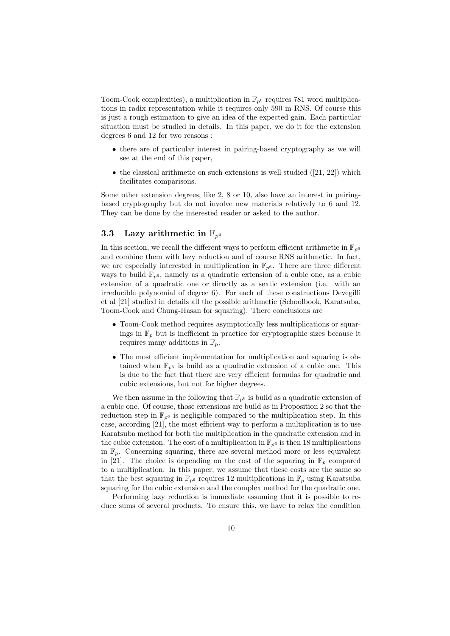Toom-Cook complexities), a multiplication in  $\mathbb{F}_{p^6}$  requires 781 word multiplications in radix representation while it requires only 590 in RNS. Of course this is just a rough estimation to give an idea of the expected gain. Each particular situation must be studied in details. In this paper, we do it for the extension degrees 6 and 12 for two reasons :

- there are of particular interest in pairing-based cryptography as we will see at the end of this paper,
- the classical arithmetic on such extensions is well studied  $([21, 22])$  which facilitates comparisons.

Some other extension degrees, like 2, 8 or 10, also have an interest in pairingbased cryptography but do not involve new materials relatively to 6 and 12. They can be done by the interested reader or asked to the author.

## 3.3 Lazy arithmetic in  $\mathbb{F}_{p^6}$

In this section, we recall the different ways to perform efficient arithmetic in  $\mathbb{F}_{p^6}$ and combine them with lazy reduction and of course RNS arithmetic. In fact, we are especially interested in multiplication in  $\mathbb{F}_{p^6}$ . There are three different ways to build  $\mathbb{F}_{p^6}$ , namely as a quadratic extension of a cubic one, as a cubic extension of a quadratic one or directly as a sextic extension (i.e. with an irreducible polynomial of degree 6). For each of these constructions Devegilli et al [21] studied in details all the possible arithmetic (Schoolbook, Karatsuba, Toom-Cook and Chung-Hasan for squaring). There conclusions are

- Toom-Cook method requires asymptotically less multiplications or squarings in  $\mathbb{F}_p$  but is inefficient in practice for cryptographic sizes because it requires many additions in  $\mathbb{F}_p$ .
- The most efficient implementation for multiplication and squaring is obtained when  $\mathbb{F}_{p^6}$  is build as a quadratic extension of a cubic one. This is due to the fact that there are very efficient formulas for quadratic and cubic extensions, but not for higher degrees.

We then assume in the following that  $\mathbb{F}_{p^6}$  is build as a quadratic extension of a cubic one. Of course, those extensions are build as in Proposition 2 so that the reduction step in  $\mathbb{F}_{p^6}$  is negligible compared to the multiplication step. In this case, according [21], the most efficient way to perform a multiplication is to use Karatsuba method for both the multiplication in the quadratic extension and in the cubic extension. The cost of a multiplication in  $\mathbb{F}_{p^6}$  is then 18 multiplications in  $\mathbb{F}_p$ . Concerning squaring, there are several method more or less equivalent in [21]. The choice is depending on the cost of the squaring in  $\mathbb{F}_p$  compared to a multiplication. In this paper, we assume that these costs are the same so that the best squaring in  $\mathbb{F}_{p^6}$  requires 12 multiplications in  $\mathbb{F}_p$  using Karatsuba squaring for the cubic extension and the complex method for the quadratic one.

Performing lazy reduction is immediate assuming that it is possible to reduce sums of several products. To ensure this, we have to relax the condition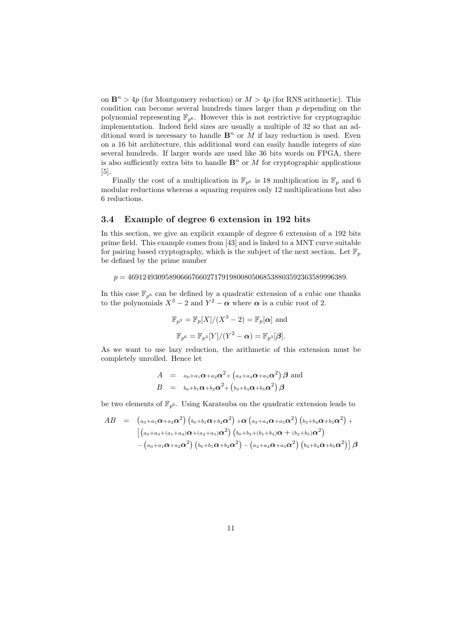on  $\mathbf{B}^n > 4p$  (for Montgomery reduction) or  $M > 4p$  (for RNS arithmetic). This condition can become several hundreds times larger than  $p$  depending on the polynomial representing  $\mathbb{F}_{p^6}$ . However this is not restrictive for cryptographic implementation. Indeed field sizes are usually a multiple of 32 so that an additional word is necessary to handle  $\mathbf{B}^n$  or M if lazy reduction is used. Even on a 16 bit architecture, this additional word can easily handle integers of size several hundreds. If larger words are used like 36 bits words on FPGA, there is also sufficiently extra bits to handle  $\mathbf{B}^n$  or M for cryptographic applications [5].

Finally the cost of a multiplication in  $\mathbb{F}_{p^6}$  is 18 multiplication in  $\mathbb{F}_p$  and 6 modular reductions whereas a squaring requires only 12 multiplications but also 6 reductions.

#### 3.4 Example of degree 6 extension in 192 bits

In this section, we give an explicit example of degree 6 extension of a 192 bits prime field. This example comes from [43] and is linked to a MNT curve suitable for pairing based cryptography, which is the subject of the next section. Let  $\mathbb{F}_p$ be defined by the prime number

 $p = 4691249309589066676602717919800805068538803592363589996389.$ 

In this case  $\mathbb{F}_{p^6}$  can be defined by a quadratic extension of a cubic one thanks to the polynomials  $X^3 - 2$  and  $Y^2 - \alpha$  where  $\alpha$  is a cubic root of 2.

$$
\mathbb{F}_{p^3} = \mathbb{F}_p[X]/(X^3 - 2) = \mathbb{F}_p[\alpha]
$$
 and  

$$
\mathbb{F}_{p^6} = \mathbb{F}_{p^3}[Y]/(Y^2 - \alpha) = \mathbb{F}_{p^3}[\beta].
$$

As we want to use lazy reduction, the arithmetic of this extension must be completely unrolled. Hence let

$$
A = a_0 + a_1 \alpha + a_2 \alpha^2 + (a_3 + a_4 \alpha + a_5 \alpha^2) \beta
$$
 and  

$$
B = b_0 + b_1 \alpha + b_2 \alpha^2 + (b_3 + b_4 \alpha + b_5 \alpha^2) \beta
$$

be two elements of  $\mathbb{F}_{p^6}$ . Using Karatsuba on the quadratic extension leads to

$$
AB = (a_0 + a_1 \alpha + a_2 \alpha^2) (b_0 + b_1 \alpha + b_2 \alpha^2) + \alpha (a_3 + a_4 \alpha + a_5 \alpha^2) (b_3 + b_4 \alpha + b_5 \alpha^2) +
$$
  

$$
[(a_0 + a_3 + (a_1 + a_4)\alpha + (a_2 + a_5)\alpha^2) (b_0 + b_3 + (b_1 + b_4)\alpha + (b_2 + b_5)\alpha^2)
$$
  

$$
-(a_0 + a_1 \alpha + a_2 \alpha^2) (b_0 + b_1 \alpha + b_2 \alpha^2) - (a_3 + a_4 \alpha + a_5 \alpha^2) (b_3 + b_4 \alpha + b_5 \alpha^2)] \beta
$$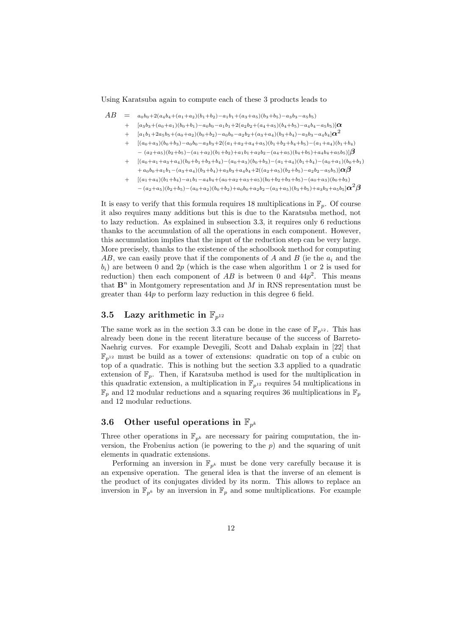Using Karatsuba again to compute each of these 3 products leads to

 $AB = a_0b_0+2(a_4b_4+(a_1+a_2)(b_1+b_2)-a_1b_1+(a_3+a_5)(b_3+b_5)-a_3b_3-a_5b_5)$ 

- $[a_3b_3+(a_0+a_1)(b_0+b_1)-a_0b_0-a_1b_1+2(a_2b_2+(a_4+a_5)(b_4+b_5)-a_4b_4-a_5b_5)]\alpha$
- +  $[a_1b_1+2a_5b_5+(a_0+a_2)(b_0+b_2)-a_0b_0-a_2b_2+(a_3+a_4)(b_3+b_4)-a_3b_3-a_4b_4]\alpha^2$
- +  $[(a_0+a_3)(b_0+b_3)-a_0b_0-a_3b_3+2((a_1+a_2+a_4+a_5)(b_1+b_2+b_4+b_5)-(a_1+a_4)(b_1+b_4)$  $-(a_2+a_5)(b_2+b_5)-(a_1+a_2)(b_1+b_2)+a_1b_1+a_2b_2-(a_4+a_5)(b_4+b_5)+a_4b_4+a_5b_5)\in{\bf 8}$
- +  $[(a_0+a_1+a_3+a_4)(b_0+b_1+b_3+b_4)-(a_0+a_3)(b_0+b_3)-(a_1+a_4)(b_1+b_4)-(a_0+a_1)(b_0+b_1)$  $+a_0b_0+a_1b_1-(a_3+a_4)(b_3+b_4)+a_3b_3+a_4b_4+2((a_2+a_5)(b_2+b_5)-a_2b_2-a_5b_5)]\alpha\beta$
- $[(a_1+a_4)(b_1+b_4)-a_1b_1-a_4b_4+(a_0+a_2+a_3+a_5)(b_0+b_2+b_3+b_5)-(a_0+a_3)(b_0+b_3)]$
- $-(a_2+a_5)(b_2+b_5)-(a_0+a_2)(b_0+b_2)+a_0b_0+a_2b_2-(a_3+a_5)(b_3+b_5)+a_3b_3+a_5b_5]\alpha^2\beta$

It is easy to verify that this formula requires 18 multiplications in  $\mathbb{F}_n$ . Of course it also requires many additions but this is due to the Karatsuba method, not to lazy reduction. As explained in subsection 3.3, it requires only 6 reductions thanks to the accumulation of all the operations in each component. However, this accumulation implies that the input of the reduction step can be very large. More precisely, thanks to the existence of the schoolbook method for computing AB, we can easily prove that if the components of A and B (ie the  $a_i$  and the  $b_i$ ) are between 0 and 2p (which is the case when algorithm 1 or 2 is used for reduction) then each component of  $AB$  is between 0 and  $44p^2$ . This means that  $\mathbf{B}^n$  in Montgomery representation and M in RNS representation must be greater than 44p to perform lazy reduction in this degree 6 field.

## 3.5 Lazy arithmetic in  $\mathbb{F}_{p^{12}}$

The same work as in the section 3.3 can be done in the case of  $\mathbb{F}_{n^{12}}$ . This has already been done in the recent literature because of the success of Barreto-Naehrig curves. For example Devegili, Scott and Dahab explain in [22] that  $\mathbb{F}_{p^{12}}$  must be build as a tower of extensions: quadratic on top of a cubic on top of a quadratic. This is nothing but the section 3.3 applied to a quadratic extension of  $\mathbb{F}_p$ . Then, if Karatsuba method is used for the multiplication in this quadratic extension, a multiplication in  $\mathbb{F}_{p^{12}}$  requires 54 multiplications in  $\mathbb{F}_p$  and 12 modular reductions and a squaring requires 36 multiplications in  $\mathbb{F}_p$ and 12 modular reductions.

## 3.6 Other useful operations in  $\mathbb{F}_{p^k}$

Three other operations in  $\mathbb{F}_{p^k}$  are necessary for pairing computation, the inversion, the Frobenius action (ie powering to the  $p$ ) and the squaring of unit elements in quadratic extensions.

Performing an inversion in  $\mathbb{F}_{n^k}$  must be done very carefully because it is an expensive operation. The general idea is that the inverse of an element is the product of its conjugates divided by its norm. This allows to replace an inversion in  $\mathbb{F}_{p^k}$  by an inversion in  $\mathbb{F}_p$  and some multiplications. For example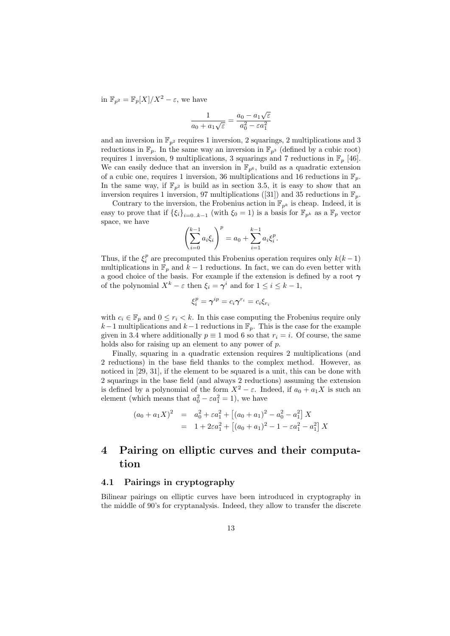in  $\mathbb{F}_{n^2} = \mathbb{F}_n[X]/X^2 - \varepsilon$ , we have

$$
\frac{1}{a_0 + a_1\sqrt{\varepsilon}} = \frac{a_0 - a_1\sqrt{\varepsilon}}{a_0^2 - \varepsilon a_1^2}
$$

and an inversion in  $\mathbb{F}_{p^2}$  requires 1 inversion, 2 squarings, 2 multiplications and 3 reductions in  $\mathbb{F}_p$ . In the same way an inversion in  $\mathbb{F}_{p^3}$  (defined by a cubic root) requires 1 inversion, 9 multiplications, 3 squarings and 7 reductions in  $\mathbb{F}_p$  [46]. We can easily deduce that an inversion in  $\mathbb{F}_{p^6}$ , build as a quadratic extension of a cubic one, requires 1 inversion, 36 multiplications and 16 reductions in  $\mathbb{F}_p$ . In the same way, if  $\mathbb{F}_{p^2}$  is build as in section 3.5, it is easy to show that an inversion requires 1 inversion, 97 multiplications ([31]) and 35 reductions in  $\mathbb{F}_p$ .

Contrary to the inversion, the Frobenius action in  $\mathbb{F}_{p^k}$  is cheap. Indeed, it is easy to prove that if  $\{\xi_i\}_{i=0..k-1}$  (with  $\xi_0 = 1$ ) is a basis for  $\mathbb{F}_{p^k}$  as a  $\mathbb{F}_p$  vector space, we have

$$
\left(\sum_{i=0}^{k-1} a_i \xi_i\right)^p = a_0 + \sum_{i=1}^{k-1} a_i \xi_i^p.
$$

Thus, if the  $\xi_i^p$  are precomputed this Frobenius operation requires only  $k(k-1)$ multiplications in  $\mathbb{F}_p$  and  $k-1$  reductions. In fact, we can do even better with a good choice of the basis. For example if the extension is defined by a root  $\gamma$ of the polynomial  $X^k - \varepsilon$  then  $\xi_i = \gamma^i$  and for  $1 \leq i \leq k - 1$ ,

$$
\xi_i^p = \gamma^{ip} = c_i \gamma^{r_i} = c_i \xi_{r_i}
$$

with  $c_i \in \mathbb{F}_p$  and  $0 \leq r_i < k$ . In this case computing the Frobenius require only  $k-1$  multiplications and  $k-1$  reductions in  $\mathbb{F}_p$ . This is the case for the example given in 3.4 where additionally  $p \equiv 1 \mod 6$  so that  $r_i = i$ . Of course, the same holds also for raising up an element to any power of p.

Finally, squaring in a quadratic extension requires 2 multiplications (and 2 reductions) in the base field thanks to the complex method. However, as noticed in [29, 31], if the element to be squared is a unit, this can be done with 2 squarings in the base field (and always 2 reductions) assuming the extension is defined by a polynomial of the form  $X^2 - \varepsilon$ . Indeed, if  $a_0 + a_1X$  is such an element (which means that  $a_0^2 - \varepsilon a_1^2 = 1$ ), we have

$$
(a_0 + a_1 X)^2 = a_0^2 + \varepsilon a_1^2 + [(a_0 + a_1)^2 - a_0^2 - a_1^2] X
$$
  
= 1 + 2\varepsilon a\_1^2 + [(a\_0 + a\_1)^2 - 1 - \varepsilon a\_1^2 - a\_1^2] X

## 4 Pairing on elliptic curves and their computation

### 4.1 Pairings in cryptography

Bilinear pairings on elliptic curves have been introduced in cryptography in the middle of 90's for cryptanalysis. Indeed, they allow to transfer the discrete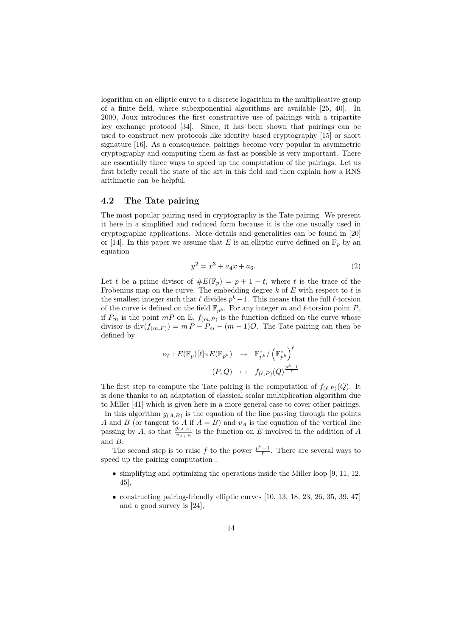logarithm on an elliptic curve to a discrete logarithm in the multiplicative group of a finite field, where subexponential algorithms are available [25, 40]. In 2000, Joux introduces the first constructive use of pairings with a tripartite key exchange protocol [34]. Since, it has been shown that pairings can be used to construct new protocols like identity based cryptography [15] or short signature [16]. As a consequence, pairings become very popular in asymmetric cryptography and computing them as fast as possible is very important. There are essentially three ways to speed up the computation of the pairings. Let us first briefly recall the state of the art in this field and then explain how a RNS arithmetic can be helpful.

#### 4.2 The Tate pairing

The most popular pairing used in cryptography is the Tate pairing. We present it here in a simplified and reduced form because it is the one usually used in cryptographic applications. More details and generalities can be found in [20] or [14]. In this paper we assume that E is an elliptic curve defined on  $\mathbb{F}_p$  by an equation

$$
y^2 = x^3 + a_4 x + a_6. \tag{2}
$$

Let  $\ell$  be a prime divisor of  $\#E(\mathbb{F}_p) = p + 1 - t$ , where t is the trace of the Frobenius map on the curve. The embedding degree k of E with respect to  $\ell$  is the smallest integer such that  $\ell$  divides  $p^k-1$ . This means that the full  $\ell$ -torsion of the curve is defined on the field  $\mathbb{F}_{p^k}$ . For any integer m and  $\ell$ -torsion point P, if  $P_m$  is the point  $mP$  on E,  $f_{(m,P)}$  is the function defined on the curve whose divisor is  $\text{div}(f_{(m,P)}) = m P - P_m - (m-1)O$ . The Tate pairing can then be defined by

$$
e_T: E(\mathbb{F}_p)[\ell] \times E(\mathbb{F}_{p^k}) \rightarrow \mathbb{F}_{p^k}^*/\left(\mathbb{F}_{p^k}^*\right)^{\ell}
$$

$$
(P,Q) \rightarrow f_{(\ell,P)}(Q)^{\frac{p^k-1}{\ell}}
$$

The first step to compute the Tate pairing is the computation of  $f_{(\ell,P)}(Q)$ . It is done thanks to an adaptation of classical scalar multiplication algorithm due to Miller [41] which is given here in a more general case to cover other pairings. In this algorithm  $g_{(A,B)}$  is the equation of the line passing through the points A and B (or tangent to A if  $A = B$ ) and  $v_A$  is the equation of the vertical line passing by A, so that  $\frac{g(A,B)}{v_{A+B}}$  is the function on E involved in the addition of A and B.

The second step is to raise f to the power  $\frac{p^k-1}{\ell}$ . There are several ways to speed up the pairing computation :

- simplifying and optimizing the operations inside the Miller loop [9, 11, 12, 45],
- constructing pairing-friendly elliptic curves  $[10, 13, 18, 23, 26, 35, 39, 47]$ and a good survey is [24],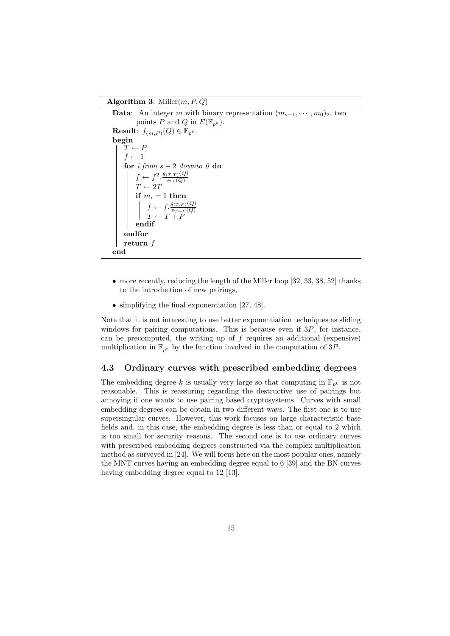#### **Algorithm 3:** Miller $(m, P, Q)$

```
Data: An integer m with binary representation (m_{s-1}, \dots, m_0)_2, two
           points P and Q in E(\mathbb{F}_{p^k}).
Result: f_{(m,P)}(Q) \in \mathbb{F}_{p^k}.
begin
     T \leftarrow Pf \leftarrow 1for i from s - 2 downto 0 do
           f \leftarrow f^2 \cdot \frac{g_{(T,T)}(Q)}{g_{\text{QCD}}(Q)}v_{2T}(Q)T \leftarrow 2Tif m_i = 1 then
                 f \leftarrow f \cdot \frac{g_{(T,P)}(Q)}{v_{T+P}(Q)}<br>T \leftarrow T + Pendif
     endfor
     return fend
```
- more recently, reducing the length of the Miller loop [32, 33, 38, 52] thanks to the introduction of new pairings,
- simplifying the final exponentiation [27, 48].

Note that it is not interesting to use better exponentiation techniques as sliding windows for pairing computations. This is because even if  $3P$ , for instance, can be precomputed, the writing up of  $f$  requires an additional (expensive) multiplication in  $\mathbb{F}_{p^k}$  by the function involved in the computation of 3P.

#### 4.3 Ordinary curves with prescribed embedding degrees

The embedding degree k is usually very large so that computing in  $\mathbb{F}_{p^k}$  is not reasonable. This is reassuring regarding the destructive use of pairings but annoying if one wants to use pairing based cryptosystems. Curves with small embedding degrees can be obtain in two different ways. The first one is to use supersingular curves. However, this work focuses on large characteristic base fields and, in this case, the embedding degree is less than or equal to 2 which is too small for security reasons. The second one is to use ordinary curves with prescribed embedding degrees constructed via the complex multiplication method as surveyed in [24]. We will focus here on the most popular ones, namely the MNT curves having an embedding degree equal to 6 [39] and the BN curves having embedding degree equal to 12 [13].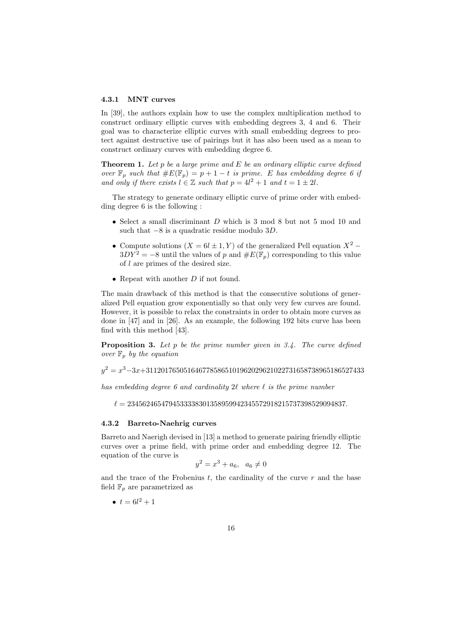#### 4.3.1 MNT curves

In [39], the authors explain how to use the complex multiplication method to construct ordinary elliptic curves with embedding degrees 3, 4 and 6. Their goal was to characterize elliptic curves with small embedding degrees to protect against destructive use of pairings but it has also been used as a mean to construct ordinary curves with embedding degree 6.

**Theorem 1.** Let p be a large prime and  $E$  be an ordinary elliptic curve defined over  $\mathbb{F}_p$  such that  $\#E(\mathbb{F}_p) = p + 1 - t$  is prime. E has embedding degree 6 if and only if there exists  $l \in \mathbb{Z}$  such that  $p = 4l^2 + 1$  and  $t = 1 \pm 2l$ .

The strategy to generate ordinary elliptic curve of prime order with embedding degree 6 is the following :

- Select a small discriminant  $D$  which is 3 mod 8 but not 5 mod 10 and such that  $-8$  is a quadratic residue modulo 3D.
- Compute solutions  $(X = 6l \pm 1, Y)$  of the generalized Pell equation  $X^2$   $3DY^2 = -8$  until the values of p and  $\#E(\mathbb{F}_p)$  corresponding to this value of l are primes of the desired size.
- Repeat with another D if not found.

The main drawback of this method is that the consecutive solutions of generalized Pell equation grow exponentially so that only very few curves are found. However, it is possible to relax the constraints in order to obtain more curves as done in [47] and in [26]. As an example, the following 192 bits curve has been find with this method [43].

**Proposition 3.** Let p be the prime number given in  $3.4$ . The curve defined over  $\mathbb{F}_p$  by the equation

 $y^2=x^3$ –3x+3112017650516467785865101962029621022731658738965186527433

has embedding degree 6 and cardinality  $2\ell$  where  $\ell$  is the prime number

 $\ell = 2345624654794533338301358959942345572918215737398529094837.$ 

#### 4.3.2 Barreto-Naehrig curves

Barreto and Naerigh devised in [13] a method to generate pairing friendly elliptic curves over a prime field, with prime order and embedding degree 12. The equation of the curve is

$$
y^2 = x^3 + a_6, \ \ a_6 \neq 0
$$

and the trace of the Frobenius  $t$ , the cardinality of the curve  $r$  and the base field  $\mathbb{F}_n$  are parametrized as

•  $t = 6l^2 + 1$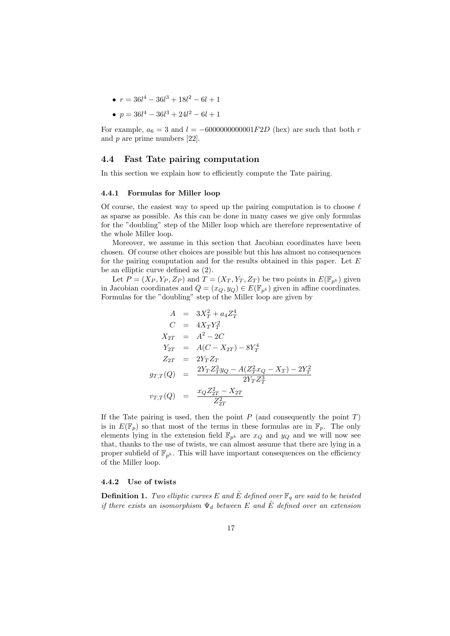- $r = 36l^4 36l^3 + 18l^2 6l + 1$
- $p = 36l^4 36l^3 + 24l^2 6l + 1$

For example,  $a_6 = 3$  and  $l = -6000000000001F2D$  (hex) are such that both r and  $p$  are prime numbers  $[22]$ .

#### 4.4 Fast Tate pairing computation

In this section we explain how to efficiently compute the Tate pairing.

#### 4.4.1 Formulas for Miller loop

Of course, the easiest way to speed up the pairing computation is to choose  $\ell$ as sparse as possible. As this can be done in many cases we give only formulas for the "doubling" step of the Miller loop which are therefore representative of the whole Miller loop.

Moreover, we assume in this section that Jacobian coordinates have been chosen. Of course other choices are possible but this has almost no consequences for the pairing computation and for the results obtained in this paper. Let  $E$ be an elliptic curve defined as (2).

Let  $P = (X_P, Y_P, Z_P)$  and  $T = (X_T, Y_T, Z_T)$  be two points in  $E(\mathbb{F}_{p^k})$  given in Jacobian coordinates and  $Q = (x_Q, y_Q) \in E(\mathbb{F}_{p^k})$  given in affine coordinates. Formulas for the "doubling" step of the Miller loop are given by

$$
A = 3X_T^2 + a_4 Z_T^4
$$
  
\n
$$
C = 4X_T Y_T^2
$$
  
\n
$$
X_{2T} = A^2 - 2C
$$
  
\n
$$
Y_{2T} = A(C - X_{2T}) - 8Y_T^4
$$
  
\n
$$
Z_{2T} = 2Y_T Z_T
$$
  
\n
$$
g_{T,T}(Q) = \frac{2Y_T Z_T^3 y_Q - A(Z_T^2 x_Q - X_T) - 2Y_T^2}{2Y_T Z_T^3}
$$
  
\n
$$
v_{T,T}(Q) = \frac{x_Q Z_{2T}^2 - X_{2T}}{Z_{2T}^2}
$$

If the Tate pairing is used, then the point  $P$  (and consequently the point  $T$ ) is in  $E(\mathbb{F}_p)$  so that most of the terms in these formulas are in  $\mathbb{F}_p$ . The only elements lying in the extension field  $\mathbb{F}_{p^k}$  are  $x_Q$  and  $y_Q$  and we will now see that, thanks to the use of twists, we can almost assume that there are lying in a proper subfield of  $\mathbb{F}_{p^k}$ . This will have important consequences on the efficiency of the Miller loop.

#### 4.4.2 Use of twists

**Definition 1.** Two elliptic curves E and  $\tilde{E}$  defined over  $\mathbb{F}_q$  are said to be twisted if there exists an isomorphism  $\Psi_d$  between E and  $\tilde{E}$  defined over an extension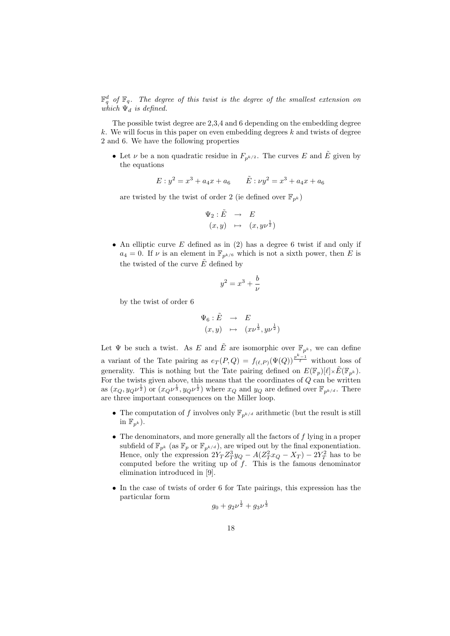$\mathbb{F}_q^d$  of  $\mathbb{F}_q$ . The degree of this twist is the degree of the smallest extension on which  $\Psi_d$  is defined.

The possible twist degree are 2,3,4 and 6 depending on the embedding degree  $k$ . We will focus in this paper on even embedding degrees  $k$  and twists of degree 2 and 6. We have the following properties

• Let  $\nu$  be a non quadratic residue in  $F_{p^{k/2}}$ . The curves E and  $\tilde{E}$  given by the equations

$$
E: y^2 = x^3 + a_4 x + a_6 \qquad \tilde{E}: \nu y^2 = x^3 + a_4 x + a_6
$$

are twisted by the twist of order 2 (ie defined over  $\mathbb{F}_{p^k}$ )

$$
\Psi_2 : \tilde{E} \rightarrow E
$$
  

$$
(x, y) \mapsto (x, y\nu^{\frac{1}{2}})
$$

• An elliptic curve  $E$  defined as in (2) has a degree 6 twist if and only if  $a_4 = 0$ . If  $\nu$  is an element in  $\mathbb{F}_{p^{k/6}}$  which is not a sixth power, then E is the twisted of the curve  $\tilde{E}$  defined by

$$
y^2 = x^3 + \frac{b}{\nu}
$$

by the twist of order 6

$$
\Psi_6: \tilde{E} \rightarrow E
$$
  

$$
(x, y) \mapsto (x\nu^{\frac{1}{3}}, y\nu^{\frac{1}{2}})
$$

Let  $\Psi$  be such a twist. As E and  $\tilde{E}$  are isomorphic over  $\mathbb{F}_{p^k}$ , we can define a variant of the Tate pairing as  $e_T(P,Q) = f_{(\ell,P)}(\Psi(Q))^{\frac{p^k-1}{\ell}}$  without loss of generality. This is nothing but the Tate pairing defined on  $E(\mathbb{F}_p)[\ell] \times \tilde{E}(\mathbb{F}_{p^k})$ . For the twists given above, this means that the coordinates of  $Q$  can be written as  $(x_Q, y_Q \nu^{\frac{1}{2}})$  or  $(x_Q \nu^{\frac{1}{3}}, y_Q \nu^{\frac{1}{2}})$  where  $x_Q$  and  $y_Q$  are defined over  $\mathbb{F}_{p^{k/d}}$ . There are three important consequences on the Miller loop.

- The computation of f involves only  $\mathbb{F}_{p^{k/d}}$  arithmetic (but the result is still in  $\mathbb{F}_{p^k}$ ).
- The denominators, and more generally all the factors of  $f$  lying in a proper subfield of  $\mathbb{F}_{p^k}$  (as  $\mathbb{F}_p$  or  $\mathbb{F}_{p^{k/d}}$ ), are wiped out by the final exponentiation. Hence, only the expression  $2Y_T Z_T^3 y_Q - A(Z_T^2 x_Q - X_T) - 2Y_T^2$  has to be computed before the writing up of  $f$ . This is the famous denominator elimination introduced in [9].
- In the case of twists of order 6 for Tate pairings, this expression has the particular form

$$
g_0 + g_2 \nu^{\frac{1}{2}} + g_3 \nu^{\frac{1}{3}}
$$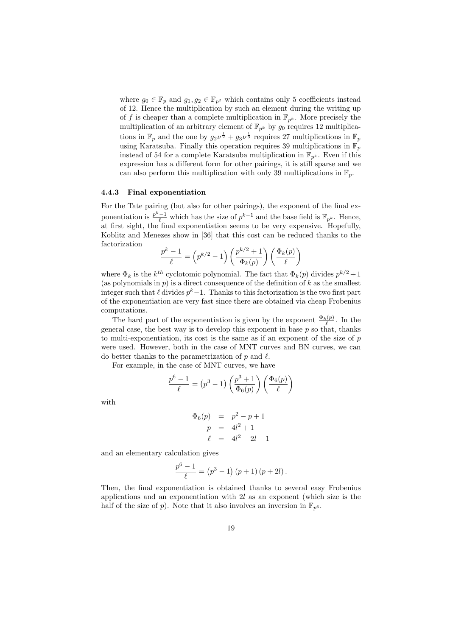where  $g_0 \in \mathbb{F}_p$  and  $g_1, g_2 \in \mathbb{F}_{p^2}$  which contains only 5 coefficients instead of 12. Hence the multiplication by such an element during the writing up of f is cheaper than a complete multiplication in  $\mathbb{F}_{p^k}$ . More precisely the multiplication of an arbitrary element of  $\mathbb{F}_{p^k}$  by  $g_0$  requires 12 multiplications in  $\mathbb{F}_p$  and the one by  $g_2\nu^{\frac{1}{2}} + g_3\nu^{\frac{1}{3}}$  requires 27 multiplications in  $\mathbb{F}_p$ using Karatsuba. Finally this operation requires 39 multiplications in  $\mathbb{F}_p$ instead of 54 for a complete Karatsuba multiplication in  $\mathbb{F}_{p^k}$ . Even if this expression has a different form for other pairings, it is still sparse and we can also perform this multiplication with only 39 multiplications in  $\mathbb{F}_p$ .

#### 4.4.3 Final exponentiation

For the Tate pairing (but also for other pairings), the exponent of the final exponentiation is  $\frac{p^k-1}{\ell}$  which has the size of  $p^{k-1}$  and the base field is  $\mathbb{F}_{p^k}$ . Hence, at first sight, the final exponentiation seems to be very expensive. Hopefully, Koblitz and Menezes show in [36] that this cost can be reduced thanks to the factorization

$$
\frac{p^k - 1}{\ell} = \left(p^{k/2} - 1\right) \left(\frac{p^{k/2} + 1}{\Phi_k(p)}\right) \left(\frac{\Phi_k(p)}{\ell}\right)
$$

where  $\Phi_k$  is the  $k^{th}$  cyclotomic polynomial. The fact that  $\Phi_k(p)$  divides  $p^{k/2}+1$ (as polynomials in  $p$ ) is a direct consequence of the definition of  $k$  as the smallest integer such that  $\ell$  divides  $p^k-1$ . Thanks to this factorization is the two first part of the exponentiation are very fast since there are obtained via cheap Frobenius computations.

The hard part of the exponentiation is given by the exponent  $\frac{\Phi_k(p)}{\ell}$ . In the general case, the best way is to develop this exponent in base  $p$  so that, thanks to multi-exponentiation, its cost is the same as if an exponent of the size of  $p$ were used. However, both in the case of MNT curves and BN curves, we can do better thanks to the parametrization of  $p$  and  $\ell$ .

For example, in the case of MNT curves, we have

$$
\frac{p^6 - 1}{\ell} = (p^3 - 1) \left( \frac{p^3 + 1}{\Phi_6(p)} \right) \left( \frac{\Phi_6(p)}{\ell} \right)
$$

with

$$
\Phi_6(p) = p^2 - p + 1\np = 4l^2 + 1\n\ell = 4l^2 - 2l + 1
$$

and an elementary calculation gives

$$
\frac{p^6 - 1}{\ell} = (p^3 - 1) (p + 1) (p + 2l).
$$

Then, the final exponentiation is obtained thanks to several easy Frobenius applications and an exponentiation with 2l as an exponent (which size is the half of the size of p). Note that it also involves an inversion in  $\mathbb{F}_{p^6}$ .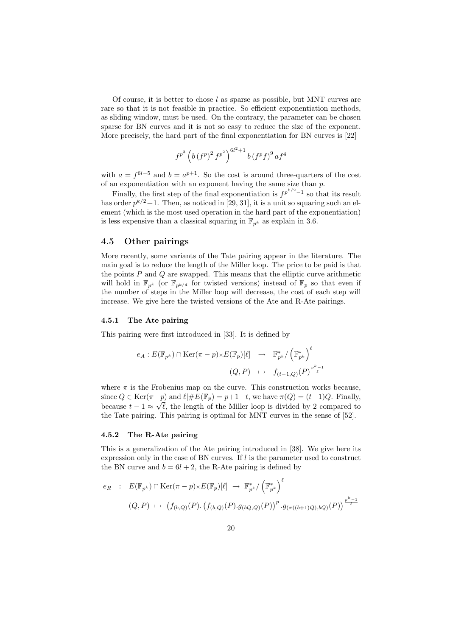Of course, it is better to chose  $l$  as sparse as possible, but MNT curves are rare so that it is not feasible in practice. So efficient exponentiation methods, as sliding window, must be used. On the contrary, the parameter can be chosen sparse for BN curves and it is not so easy to reduce the size of the exponent. More precisely, the hard part of the final exponentiation for BN curves is [22]

$$
f^{p^3} \left(b \left(f^p\right)^2 f^{p^2}\right)^{6l^2+1} b \left(f^p f\right)^9 a f^4
$$

with  $a = f^{6l-5}$  and  $b = a^{p+1}$ . So the cost is around three-quarters of the cost of an exponentiation with an exponent having the same size than p.

Finally, the first step of the final exponentiation is  $f^{p^{k/2}-1}$  so that its result has order  $p^{k/2}+1$ . Then, as noticed in [29, 31], it is a unit so squaring such an element (which is the most used operation in the hard part of the exponentiation) is less expensive than a classical squaring in  $\mathbb{F}_{p^k}$  as explain in 3.6.

#### 4.5 Other pairings

More recently, some variants of the Tate pairing appear in the literature. The main goal is to reduce the length of the Miller loop. The price to be paid is that the points  $P$  and  $Q$  are swapped. This means that the elliptic curve arithmetic will hold in  $\mathbb{F}_{p^k}$  (or  $\mathbb{F}_{p^{k/d}}$  for twisted versions) instead of  $\mathbb{F}_p$  so that even if the number of steps in the Miller loop will decrease, the cost of each step will increase. We give here the twisted versions of the Ate and R-Ate pairings.

#### 4.5.1 The Ate pairing

This pairing were first introduced in [33]. It is defined by

$$
e_A: E(\mathbb{F}_{p^k}) \cap \text{Ker}(\pi - p) \times E(\mathbb{F}_p)[\ell] \rightarrow \mathbb{F}_{p^k}^*/\left(\mathbb{F}_{p^k}^*\right)^{\ell}
$$

$$
(Q, P) \rightarrow f_{(t-1, Q)}(P)^{\frac{p^k - 1}{\ell}}
$$

where  $\pi$  is the Frobenius map on the curve. This construction works because, since  $Q \in \text{Ker}(\pi - p)$  and  $\ell | \# E(\mathbb{F}_p) = p + 1 - t$ , we have  $\pi(Q) = (t-1)Q$ . Finally, because  $t - 1 \approx \sqrt{\ell}$ , the length of the Miller loop is divided by 2 compared to the Tate pairing. This pairing is optimal for MNT curves in the sense of [52].

#### 4.5.2 The R-Ate pairing

This is a generalization of the Ate pairing introduced in [38]. We give here its expression only in the case of BN curves. If  $l$  is the parameter used to construct the BN curve and  $b = 6l + 2$ , the R-Ate pairing is defined by

$$
e_R : E(\mathbb{F}_{p^k}) \cap \text{Ker}(\pi - p) \times E(\mathbb{F}_p)[\ell] \rightarrow \mathbb{F}_{p^k}^*/\left(\mathbb{F}_{p^k}^*\right)^{\ell}
$$
  

$$
(Q, P) \mapsto (f_{(b,Q)}(P) \cdot (f_{(b,Q)}(P) \cdot g_{(bQ,Q)}(P))^p \cdot g_{(\pi((b+1)Q),bQ)}(P))^{\frac{p^k-1}{\ell}}
$$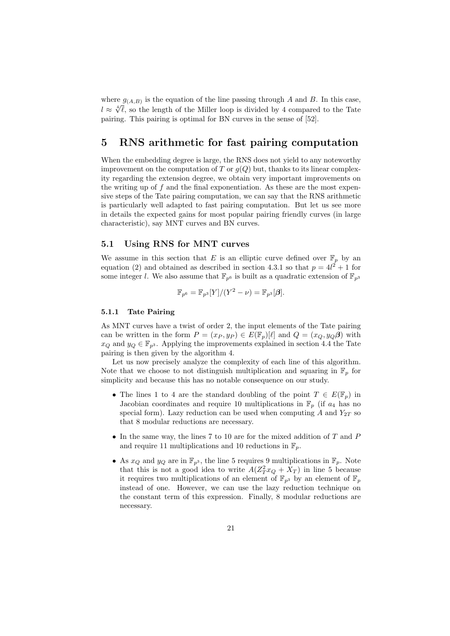where  $g_{(A,B)}$  is the equation of the line passing through A and B. In this case,<br>Let  $\frac{4\sqrt{a}}{2}$  as the length of the Millen leap is divided by 4 separated to the Tate  $l \approx \sqrt[4]{\ell}$ , so the length of the Miller loop is divided by 4 compared to the Tate pairing. This pairing is optimal for BN curves in the sense of [52].

## 5 RNS arithmetic for fast pairing computation

When the embedding degree is large, the RNS does not yield to any noteworthy improvement on the computation of T or  $g(Q)$  but, thanks to its linear complexity regarding the extension degree, we obtain very important improvements on the writing up of  $f$  and the final exponentiation. As these are the most expensive steps of the Tate pairing computation, we can say that the RNS arithmetic is particularly well adapted to fast pairing computation. But let us see more in details the expected gains for most popular pairing friendly curves (in large characteristic), say MNT curves and BN curves.

### 5.1 Using RNS for MNT curves

We assume in this section that E is an elliptic curve defined over  $\mathbb{F}_p$  by an equation (2) and obtained as described in section 4.3.1 so that  $p = 4l^2 + 1$  for some integer l. We also assume that  $\mathbb{F}_{p^6}$  is built as a quadratic extension of  $\mathbb{F}_{p^3}$ 

$$
\mathbb{F}_{p^6} = \mathbb{F}_{p^3}[Y]/(Y^2 - \nu) = \mathbb{F}_{p^3}[\beta].
$$

#### 5.1.1 Tate Pairing

As MNT curves have a twist of order 2, the input elements of the Tate pairing can be written in the form  $P = (x_P, y_P) \in E(\mathbb{F}_p)[\ell]$  and  $Q = (x_Q, y_Q\beta)$  with  $x_Q$  and  $y_Q \in \mathbb{F}_{p^3}$ . Applying the improvements explained in section 4.4 the Tate pairing is then given by the algorithm 4.

Let us now precisely analyze the complexity of each line of this algorithm. Note that we choose to not distinguish multiplication and squaring in  $\mathbb{F}_n$  for simplicity and because this has no notable consequence on our study.

- The lines 1 to 4 are the standard doubling of the point  $T \in E(\mathbb{F}_p)$  in Jacobian coordinates and require 10 multiplications in  $\mathbb{F}_p$  (if  $a_4$  has no special form). Lazy reduction can be used when computing A and  $Y_{2T}$  so that 8 modular reductions are necessary.
- In the same way, the lines 7 to 10 are for the mixed addition of  $T$  and  $P$ and require 11 multiplications and 10 reductions in  $\mathbb{F}_p$ .
- As  $x_Q$  and  $y_Q$  are in  $\mathbb{F}_{p^3}$ , the line 5 requires 9 multiplications in  $\mathbb{F}_p$ . Note that this is not a good idea to write  $A(Z_T^2 x_Q + X_T)$  in line 5 because it requires two multiplications of an element of  $\mathbb{F}_{p^3}$  by an element of  $\mathbb{F}_p$ instead of one. However, we can use the lazy reduction technique on the constant term of this expression. Finally, 8 modular reductions are necessary.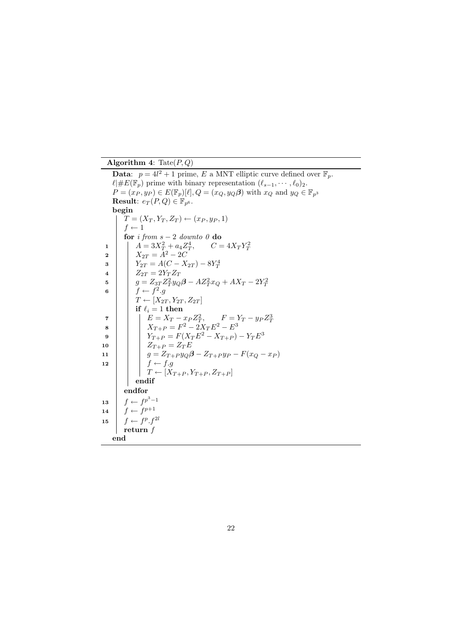Algorithm 4: Tate $(P, Q)$ 

**Data:**  $p = 4l^2 + 1$  prime, E a MNT elliptic curve defined over  $\mathbb{F}_p$ .  $\ell | \# E(\mathbb{F}_p)$  prime with binary representation  $(\ell_{s-1}, \cdots, \ell_0)_2$ .  $P = (x_P, y_P) \in E(\mathbb{F}_p)[\ell], Q = (x_Q, y_Q \beta)$  with  $x_Q$  and  $y_Q \in \mathbb{F}_{p^3}$ **Result:**  $e_T(P,Q) \in \mathbb{F}_{p^6}$ . begin  $T = (X_T, Y_T, Z_T) \leftarrow (x_P, y_P, 1)$  $f \leftarrow 1$ for i from  $s - 2$  downto 0 do  $\begin{array}{c|c} \n1 & A = 3X_T^2 + a_4 Z_T^4 \\
2 & X_{2T} = A^2 - 2C\n\end{array}$  $, \qquad C = 4X_T Y_T^2$ 1  $Y_{2T} = A(C - X_{2T}) - 8Y_T^4$ 3 4  $Z_{2T} = 2Y_T Z_T$  $g = Z_{3T} Z_T^2 y_Q \beta - A Z_T^2 x_Q + A X_T - 2Y_T^2$ 5 6  $f \leftarrow f^2.g$  $T \leftarrow [X_{2T}, Y_{2T}, Z_{2T}]$ if  $\ell_i = 1$  then  $E = X_T - x_P Z_T^2,$   $F = Y_T - y_P Z_T^3$ <br>  $X_{T+P} = F^2 - 2X_T E^2 - E^3$ 7 8  $Y_{T+P} = F(X_T E^2 - X_{T+P}) - Y_T E^3$ 9 10  $\vert$   $\vert$   $Z_{T+P} = Z_T E$ 11  $g = Z_{T+P} y_Q \beta - Z_{T+P} y_P - F(x_Q - x_P)$ 12  $f \leftarrow f.g$  $T \leftarrow [X_{T+P}, Y_{T+P}, Z_{T+P}]$ endif endfor  $f \leftarrow f^{p^3-1}$ 13 14  $f \leftarrow f^{p+1}$  $f \leftarrow f^p.f^{2l}$ 15 return  $f$ end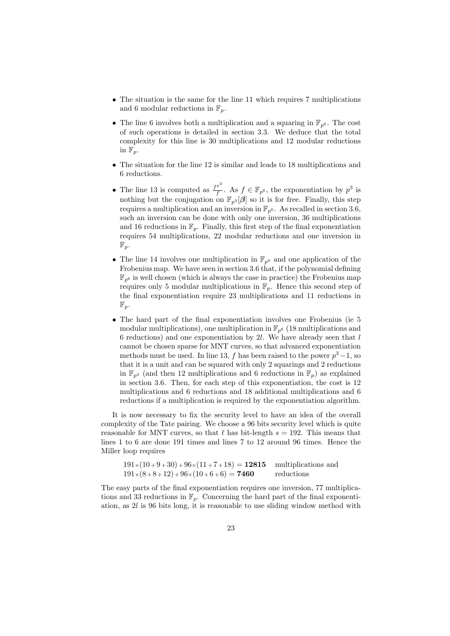- The situation is the same for the line 11 which requires 7 multiplications and 6 modular reductions in  $\mathbb{F}_p$ .
- The line 6 involves both a multiplication and a squaring in  $\mathbb{F}_{p^6}$ . The cost of such operations is detailed in section 3.3. We deduce that the total complexity for this line is 30 multiplications and 12 modular reductions in  $\mathbb{F}_n$ .
- The situation for the line 12 is similar and leads to 18 multiplications and 6 reductions.
- The line 13 is computed as  $\frac{f^{p^3}}{f}$  $\frac{p^{\sigma}}{f}$ . As  $f \in \mathbb{F}_{p^6}$ , the exponentiation by  $p^3$  is nothing but the conjugation on  $\mathbb{F}_{p^3}[\beta]$  so it is for free. Finally, this step requires a multiplication and an inversion in  $\mathbb{F}_{p^6}$ . As recalled in section 3.6, such an inversion can be done with only one inversion, 36 multiplications and 16 reductions in  $\mathbb{F}_p$ . Finally, this first step of the final exponentiation requires 54 multiplications, 22 modular reductions and one inversion in  $\mathbb{F}_n$ .
- The line 14 involves one multiplication in  $\mathbb{F}_{p^6}$  and one application of the Frobenius map. We have seen in section 3.6 that, if the polynomial defining  $\mathbb{F}_{p^6}$  is well chosen (which is always the case in practice) the Frobenius map requires only 5 modular multiplications in  $\mathbb{F}_p$ . Hence this second step of the final exponentiation require 23 multiplications and 11 reductions in  $\mathbb{F}_p$ .
- The hard part of the final exponentiation involves one Frobenius (ie 5 modular multiplications), one multiplication in  $\mathbb{F}_{p^6}$  (18 multiplications and 6 reductions) and one exponentiation by  $2l$ . We have already seen that  $l$ cannot be chosen sparse for MNT curves, so that advanced exponentiation methods must be used. In line 13, f has been raised to the power  $p^3-1$ , so that it is a unit and can be squared with only 2 squarings and 2 reductions in  $\mathbb{F}_{p^3}$  (and then 12 multiplications and 6 reductions in  $\mathbb{F}_p$ ) as explained in section 3.6. Then, for each step of this exponentiation, the cost is 12 multiplications and 6 reductions and 18 additional multiplications and 6 reductions if a multiplication is required by the exponentiation algorithm.

It is now necessary to fix the security level to have an idea of the overall complexity of the Tate pairing. We choose a 96 bits security level which is quite reasonable for MNT curves, so that  $\ell$  has bit-length  $s = 192$ . This means that lines 1 to 6 are done 191 times and lines 7 to 12 around 96 times. Hence the Miller loop requires

|                                                           | $191 \times (10 + 9 + 30) + 96 \times (11 + 7 + 18) =$ <b>12815</b> multiplications and |  |
|-----------------------------------------------------------|-----------------------------------------------------------------------------------------|--|
| $191 \times (8 + 8 + 12) + 96 \times (10 + 6 + 6) = 7460$ | reductions                                                                              |  |

The easy parts of the final exponentiation requires one inversion, 77 multiplications and 33 reductions in  $\mathbb{F}_p$ . Concerning the hard part of the final exponentiation, as 2l is 96 bits long, it is reasonable to use sliding window method with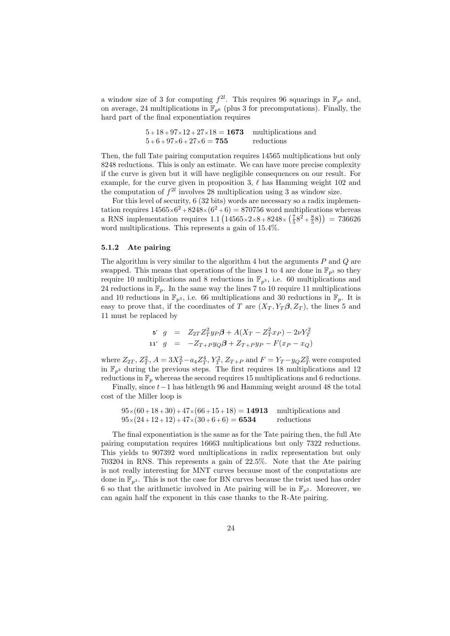a window size of 3 for computing  $f^{2l}$ . This requires 96 squarings in  $\mathbb{F}_{p^6}$  and, on average, 24 multiplications in  $\mathbb{F}_{p^6}$  (plus 3 for precomputations). Finally, the hard part of the final exponentiation requires

$$
5+18+97\times12+27\times18 =
$$
**1673** multiplications and  
 $5+6+97\times6+27\times6 =$ **755** reductions

Then, the full Tate pairing computation requires 14565 multiplications but only 8248 reductions. This is only an estimate. We can have more precise complexity if the curve is given but it will have negligible consequences on our result. For example, for the curve given in proposition 3,  $\ell$  has Hamming weight 102 and the computation of  $f^{2l}$  involves 28 multiplication using 3 as window size.

For this level of security, 6 (32 bits) words are necessary so a radix implementation requires  $14565\times6^2 + 8248\times(6^2 + 6) = 870756$  word multiplications whereas a RNS implementation requires  $1.1 (14565 \times 2 \times 8 + 8248 \times (\frac{7}{5}8^2 + \frac{8}{5}8)) = 736626$ word multiplications. This represents a gain of 15.4%.

#### 5.1.2 Ate pairing

The algorithm is very similar to the algorithm 4 but the arguments  $P$  and  $Q$  are swapped. This means that operations of the lines 1 to 4 are done in  $\mathbb{F}_{p^3}$  so they require 10 multiplications and 8 reductions in  $\mathbb{F}_{p^3}$ , i.e. 60 multiplications and 24 reductions in  $\mathbb{F}_p$ . In the same way the lines 7 to 10 require 11 multiplications and 10 reductions in  $\mathbb{F}_{p^3}$ , i.e. 66 multiplications and 30 reductions in  $\mathbb{F}_p$ . It is easy to prove that, if the coordinates of T are  $(X_T, Y_T, \mathcal{B}, Z_T)$ , the lines 5 and 11 must be replaced by

5' 
$$
g = Z_{2T}Z_T^2y_P\beta + A(X_T - Z_T^2x_P) - 2\nu Y_T^2
$$
  
11'  $g = -Z_{T+PyQ}\beta + Z_{T+PyP} - F(x_P - x_Q)$ 

where  $Z_{2T}$ ,  $Z_T^2$ ,  $A = 3X_T^2 - a_4 Z_T^4$ ,  $Y_T^2$ ,  $Z_{T+P}$  and  $F = Y_T - y_Q Z_T^3$  were computed in  $\mathbb{F}_{p^3}$  during the previous steps. The first requires 18 multiplications and 12 reductions in  $\mathbb{F}_p$  whereas the second requires 15 multiplications and 6 reductions.

Finally, since  $t-1$  has bitlength 96 and Hamming weight around 48 the total cost of the Miller loop is

$$
95 \times (60 + 18 + 30) + 47 \times (66 + 15 + 18) = 14913
$$
 multiplications and  

$$
95 \times (24 + 12 + 12) + 47 \times (30 + 6 + 6) = 6534
$$
reductions

The final exponentiation is the same as for the Tate pairing then, the full Ate pairing computation requires 16663 multiplications but only 7322 reductions. This yields to 907392 word multiplications in radix representation but only 703204 in RNS. This represents a gain of 22.5%. Note that the Ate pairing is not really interesting for MNT curves because most of the conputations are done in  $\mathbb{F}_{p^3}$ . This is not the case for BN curves because the twist used has order 6 so that the arithmetic involved in Ate pairing will be in  $\mathbb{F}_{p^2}$ . Moreover, we can again half the exponent in this case thanks to the R-Ate pairing.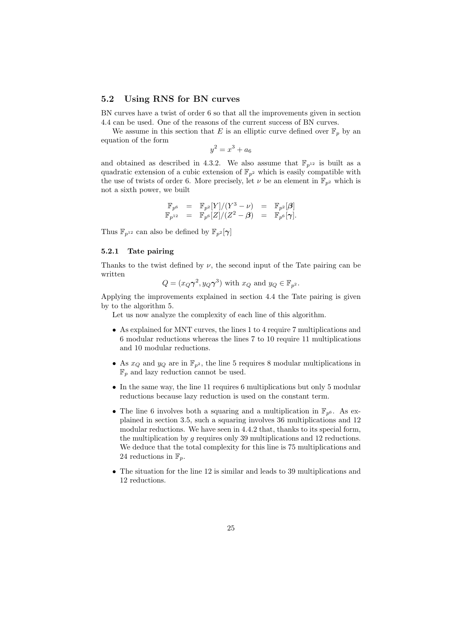#### 5.2 Using RNS for BN curves

BN curves have a twist of order 6 so that all the improvements given in section 4.4 can be used. One of the reasons of the current success of BN curves.

We assume in this section that E is an elliptic curve defined over  $\mathbb{F}_p$  by an equation of the form

 $y^2 = x^3 + a_6$ 

and obtained as described in 4.3.2. We also assume that  $\mathbb{F}_{p^{12}}$  is built as a quadratic extension of a cubic extension of  $\mathbb{F}_{p^2}$  which is easily compatible with the use of twists of order 6. More precisely, let  $\nu$  be an element in  $\mathbb{F}_{p^2}$  which is not a sixth power, we built

$$
\begin{array}{rcl}\n\mathbb{F}_{p^6} & = & \mathbb{F}_{p^2}[Y]/(Y^3-\nu) & = & \mathbb{F}_{p^2}[\beta] \\
\mathbb{F}_{p^{12}} & = & \mathbb{F}_{p^6}[Z]/(Z^2-\beta) & = & \mathbb{F}_{p^6}[\gamma].\n\end{array}
$$

Thus  $\mathbb{F}_{p^{12}}$  can also be defined by  $\mathbb{F}_{p^2}[\gamma]$ 

#### 5.2.1 Tate pairing

Thanks to the twist defined by  $\nu$ , the second input of the Tate pairing can be written

 $Q = (x_Q \gamma^2, y_Q \gamma^3)$  with  $x_Q$  and  $y_Q \in \mathbb{F}_{p^2}$ .

Applying the improvements explained in section 4.4 the Tate pairing is given by to the algorithm 5.

Let us now analyze the complexity of each line of this algorithm.

- As explained for MNT curves, the lines 1 to 4 require 7 multiplications and 6 modular reductions whereas the lines 7 to 10 require 11 multiplications and 10 modular reductions.
- As  $x_Q$  and  $y_Q$  are in  $\mathbb{F}_{p^2}$ , the line 5 requires 8 modular multiplications in  $\mathbb{F}_p$  and lazy reduction cannot be used.
- In the same way, the line 11 requires 6 multiplications but only 5 modular reductions because lazy reduction is used on the constant term.
- The line 6 involves both a squaring and a multiplication in  $\mathbb{F}_{p^6}$ . As explained in section 3.5, such a squaring involves 36 multiplications and 12 modular reductions. We have seen in 4.4.2 that, thanks to its special form, the multiplication by g requires only 39 multiplications and 12 reductions. We deduce that the total complexity for this line is 75 multiplications and 24 reductions in  $\mathbb{F}_p$ .
- The situation for the line 12 is similar and leads to 39 multiplications and 12 reductions.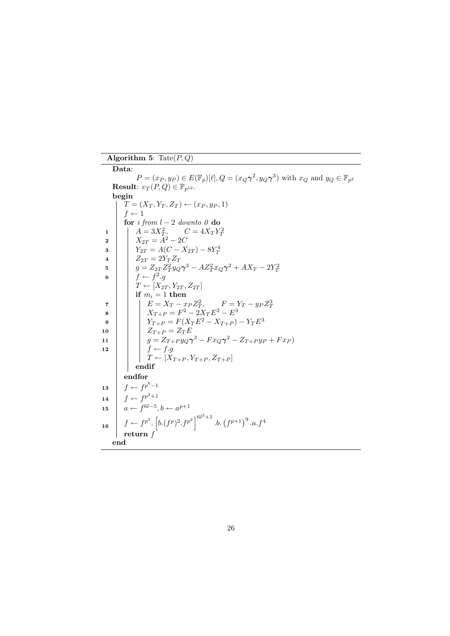### Algorithm 5: Tate $(P,Q)$

Data:  $P = (x_P, y_P) \in E(\mathbb{F}_p)[\ell], Q = (x_Q \gamma^2, y_Q \gamma^3)$  with  $x_Q$  and  $y_Q \in \mathbb{F}_{p^2}$ Result:  $e_T(P,Q) \in \mathbb{F}_{p^{12}}$ . begin  $T = (X_T, Y_T, Z_T) \leftarrow (x_P, y_P, 1)$  $f \leftarrow 1$ for i from  $l - 2$  downto 0 do  $\begin{array}{c|c} \n1 & A = 3X_T^2, & C = 4X_TY_T^2 \ \n2 & X_{2T} = A^2 - 2C\n\end{array}$ 1  $Y_{2T} = A(C - X_{2T}) - 8Y_T^4$ 3 4  $Z_{2T} = 2Y_T Z_T$  $g = Z_{2T} Z_T^2 y_Q \gamma^3 - A Z_T^2 x_Q \gamma^2 + A X_T - 2Y_T^2$ 5 6  $f \leftarrow f^2.g$  $T \leftarrow [X_{2T}, Y_{2T}, Z_{2T}]$ if  $m_i = 1$  then  $E = X_T - x_P Z_T^2$ ,  $F = Y_T - y_P Z_T^3$ 7  $X_{T+P} = F^2 - 2X_T E^2 - E^3$ 8  $Y_{T+P} = F(X_T E^2 - X_{T+P}) - Y_T E^3$ 9 10  $Z_{T+P} = Z_T E$ 11  $\begin{array}{|c|c|c|c|c|} \hline & & g = Z_{T+P} y_Q \gamma^3 - F x_Q \gamma^2 - Z_{T+P} y_P + F x_P \hline \end{array}$ 12  $f \leftarrow f.g$  $T \leftarrow [X_{T+P}, Y_{T+P}, Z_{T+P}]$ endif endfor  $f \leftarrow f^{p^6-1}$ 13 14  $f \leftarrow f^{p^2+1}$ 15  $a \leftarrow f^{6l-5}, b \leftarrow a^{p+1}$  $f \leftarrow f^{p^3}$ .  $\left[b.(f^p)^2.f^{p^2}\right]^{6l^2+1}$ .  $b. (f^{p+1})^9$ .  $a.f^4$ 16 return f end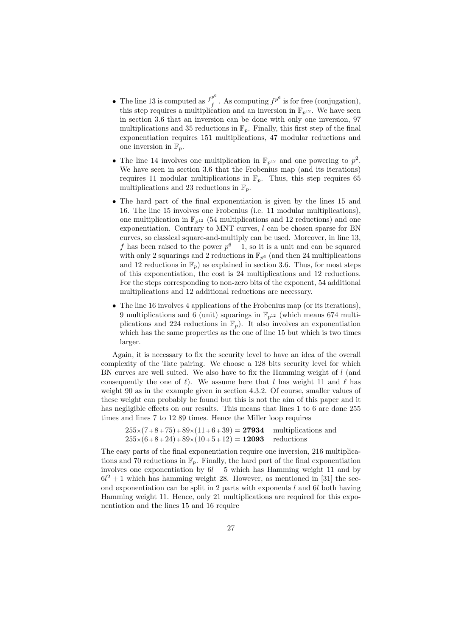- The line 13 is computed as  $\frac{f^{p^6}}{f}$  $\frac{f^{p^0}}{f}$ . As computing  $f^{p^6}$  is for free (conjugation), this step requires a multiplication and an inversion in  $\mathbb{F}_{p^{12}}$ . We have seen in section 3.6 that an inversion can be done with only one inversion, 97 multiplications and 35 reductions in  $\mathbb{F}_p$ . Finally, this first step of the final exponentiation requires 151 multiplications, 47 modular reductions and one inversion in  $\mathbb{F}_p$ .
- The line 14 involves one multiplication in  $\mathbb{F}_{p^{12}}$  and one powering to  $p^2$ . We have seen in section 3.6 that the Frobenius map (and its iterations) requires 11 modular multiplications in  $\mathbb{F}_p$ . Thus, this step requires 65 multiplications and 23 reductions in  $\mathbb{F}_p$ .
- The hard part of the final exponentiation is given by the lines 15 and 16. The line 15 involves one Frobenius (i.e. 11 modular multiplications), one multiplication in  $\mathbb{F}_{n^{12}}$  (54 multiplications and 12 reductions) and one exponentiation. Contrary to MNT curves, l can be chosen sparse for BN curves, so classical square-and-multiply can be used. Moreover, in line 13, f has been raised to the power  $p^6 - 1$ , so it is a unit and can be squared with only 2 squarings and 2 reductions in  $\mathbb{F}_{p^6}$  (and then 24 multiplications and 12 reductions in  $\mathbb{F}_p$ ) as explained in section 3.6. Thus, for most steps of this exponentiation, the cost is 24 multiplications and 12 reductions. For the steps corresponding to non-zero bits of the exponent, 54 additional multiplications and 12 additional reductions are necessary.
- The line 16 involves 4 applications of the Frobenius map (or its iterations), 9 multiplications and 6 (unit) squarings in  $\mathbb{F}_{p^{12}}$  (which means 674 multiplications and 224 reductions in  $\mathbb{F}_p$ ). It also involves an exponentiation which has the same properties as the one of line 15 but which is two times larger.

Again, it is necessary to fix the security level to have an idea of the overall complexity of the Tate pairing. We choose a 128 bits security level for which BN curves are well suited. We also have to fix the Hamming weight of  $l$  (and consequently the one of  $\ell$ ). We assume here that l has weight 11 and  $\ell$  has weight 90 as in the example given in section 4.3.2. Of course, smaller values of these weight can probably be found but this is not the aim of this paper and it has negligible effects on our results. This means that lines 1 to 6 are done 255 times and lines 7 to 12 89 times. Hence the Miller loop requires

 $255\times(7+8+75)+89\times(11+6+39)=27934$  multiplications and  $255\times(6+8+24)+89\times(10+5+12)=12093$  reductions

The easy parts of the final exponentiation require one inversion, 216 multiplications and 70 reductions in  $\mathbb{F}_p$ . Finally, the hard part of the final exponentiation involves one exponentiation by  $6l - 5$  which has Hamming weight 11 and by  $6l^2 + 1$  which has hamming weight 28. However, as mentioned in [31] the second exponentiation can be split in 2 parts with exponents  $l$  and  $6l$  both having Hamming weight 11. Hence, only 21 multiplications are required for this exponentiation and the lines 15 and 16 require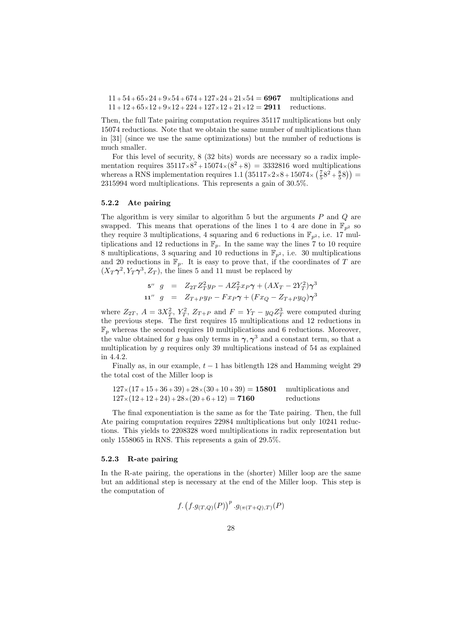$11 + 54 + 65 \times 24 + 9 \times 54 + 674 + 127 \times 24 + 21 \times 54 = 6967$  multiplications and  $11 + 12 + 65 \times 12 + 9 \times 12 + 224 + 127 \times 12 + 21 \times 12 = 2911$  reductions.

Then, the full Tate pairing computation requires 35117 multiplications but only 15074 reductions. Note that we obtain the same number of multiplications than in [31] (since we use the same optimizations) but the number of reductions is much smaller.

For this level of security, 8 (32 bits) words are necessary so a radix implementation requires  $35117 \times 8^2 + 15074 \times (8^2 + 8) = 3332816$  word multiplications whereas a RNS implementation requires  $1.1 (35117 \times 2 \times 8 + 15074 \times (\frac{7}{5}8^2 + \frac{8}{5}8)) =$ 2315994 word multiplications. This represents a gain of 30.5%.

#### 5.2.2 Ate pairing

The algorithm is very similar to algorithm 5 but the arguments  $P$  and  $Q$  are swapped. This means that operations of the lines 1 to 4 are done in  $\mathbb{F}_{p^2}$  so they require 3 multiplications, 4 squaring and 6 reductions in  $\mathbb{F}_{p^2}$ , i.e. 17 multiplications and 12 reductions in  $\mathbb{F}_p$ . In the same way the lines 7 to 10 require 8 multiplications, 3 squaring and 10 reductions in  $\mathbb{F}_{p^2}$ , i.e. 30 multiplications and 20 reductions in  $\mathbb{F}_p$ . It is easy to prove that, if the coordinates of T are  $(X_T \gamma^2, Y_T \gamma^3, Z_T)$ , the lines 5 and 11 must be replaced by

5" 
$$
g = Z_{2T}Z_T^2y_P - AZ_T^2x_P\gamma + (AX_T - 2Y_T^2)\gamma^3
$$
  
11"  $g = Z_{T+P}y_P - Fx_P\gamma + (Fx_Q - Z_{T+P}y_Q)\gamma^3$ 

where  $Z_{2T}$ ,  $A = 3X_T^2$ ,  $Y_T^2$ ,  $Z_{T+P}$  and  $F = Y_T - y_Q Z_T^3$  were computed during the previous steps. The first requires 15 multiplications and 12 reductions in  $\mathbb{F}_p$  whereas the second requires 10 multiplications and 6 reductions. Moreover, the value obtained for g has only terms in  $\gamma, \gamma^3$  and a constant term, so that a multiplication by  $g$  requires only 39 multiplications instead of 54 as explained in 4.4.2.

Finally as, in our example,  $t - 1$  has bitlength 128 and Hamming weight 29 the total cost of the Miller loop is

 $127 \times (17 + 15 + 36 + 39) + 28 \times (30 + 10 + 39) = 15801$  multiplications and  $127 \times (12 + 12 + 24) + 28 \times (20 + 6 + 12) = 7160$  reductions

The final exponentiation is the same as for the Tate pairing. Then, the full Ate pairing computation requires 22984 multiplications but only 10241 reductions. This yields to 2208328 word multiplications in radix representation but only 1558065 in RNS. This represents a gain of 29.5%.

#### 5.2.3 R-ate pairing

In the R-ate pairing, the operations in the (shorter) Miller loop are the same but an additional step is necessary at the end of the Miller loop. This step is the computation of

$$
f. (f. g_{(T,Q)}(P))^p . g_{(\pi(T+Q),T)}(P)
$$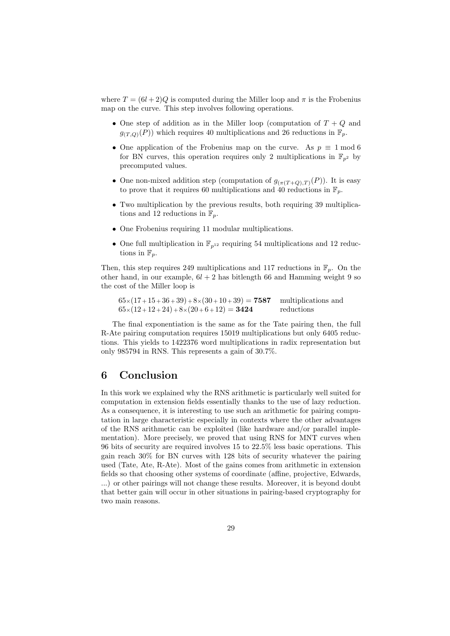where  $T = (6l + 2)Q$  is computed during the Miller loop and  $\pi$  is the Frobenius map on the curve. This step involves following operations.

- One step of addition as in the Miller loop (computation of  $T + Q$  and  $g_{(T,Q)}(P)$ ) which requires 40 multiplications and 26 reductions in  $\mathbb{F}_p$ .
- One application of the Frobenius map on the curve. As  $p \equiv 1 \mod 6$ for BN curves, this operation requires only 2 multiplications in  $\mathbb{F}_{n^2}$  by precomputed values.
- One non-mixed addition step (computation of  $g_{(\pi(T+Q),T)}(P)$ ). It is easy to prove that it requires 60 multiplications and 40 reductions in  $\mathbb{F}_n$ .
- Two multiplication by the previous results, both requiring 39 multiplications and 12 reductions in  $\mathbb{F}_n$ .
- One Frobenius requiring 11 modular multiplications.
- One full multiplication in  $\mathbb{F}_{p^{12}}$  requiring 54 multiplications and 12 reductions in  $\mathbb{F}_n$ .

Then, this step requires 249 multiplications and 117 reductions in  $\mathbb{F}_p$ . On the other hand, in our example,  $6l + 2$  has bitlength 66 and Hamming weight 9 so the cost of the Miller loop is

 $65\times(17+15+36+39)+8\times(30+10+39) =$  7587 multiplications and  $65\times(12+12+24)+8\times(20+6+12)=$  3424 reductions

The final exponentiation is the same as for the Tate pairing then, the full R-Ate pairing computation requires 15019 multiplications but only 6405 reductions. This yields to 1422376 word multiplications in radix representation but only 985794 in RNS. This represents a gain of 30.7%.

## 6 Conclusion

In this work we explained why the RNS arithmetic is particularly well suited for computation in extension fields essentially thanks to the use of lazy reduction. As a consequence, it is interesting to use such an arithmetic for pairing computation in large characteristic especially in contexts where the other advantages of the RNS arithmetic can be exploited (like hardware and/or parallel implementation). More precisely, we proved that using RNS for MNT curves when 96 bits of security are required involves 15 to 22.5% less basic operations. This gain reach 30% for BN curves with 128 bits of security whatever the pairing used (Tate, Ate, R-Ate). Most of the gains comes from arithmetic in extension fields so that choosing other systems of coordinate (affine, projective, Edwards, ...) or other pairings will not change these results. Moreover, it is beyond doubt that better gain will occur in other situations in pairing-based cryptography for two main reasons.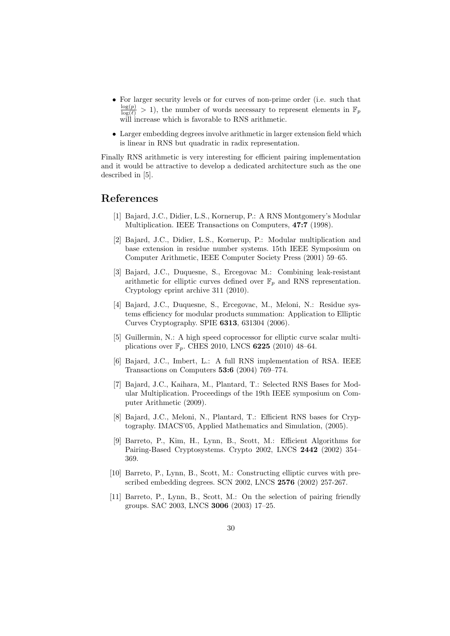- For larger security levels or for curves of non-prime order (i.e. such that  $\frac{\log(p)}{\log(\ell)} > 1$ , the number of words necessary to represent elements in  $\mathbb{F}_p$ will increase which is favorable to RNS arithmetic.
- Larger embedding degrees involve arithmetic in larger extension field which is linear in RNS but quadratic in radix representation.

Finally RNS arithmetic is very interesting for efficient pairing implementation and it would be attractive to develop a dedicated architecture such as the one described in [5].

### References

- [1] Bajard, J.C., Didier, L.S., Kornerup, P.: A RNS Montgomery's Modular Multiplication. IEEE Transactions on Computers, 47:7 (1998).
- [2] Bajard, J.C., Didier, L.S., Kornerup, P.: Modular multiplication and base extension in residue number systems. 15th IEEE Symposium on Computer Arithmetic, IEEE Computer Society Press (2001) 59–65.
- [3] Bajard, J.C., Duquesne, S., Ercegovac M.: Combining leak-resistant arithmetic for elliptic curves defined over  $\mathbb{F}_p$  and RNS representation. Cryptology eprint archive 311 (2010).
- [4] Bajard, J.C., Duquesne, S., Ercegovac, M., Meloni, N.: Residue systems efficiency for modular products summation: Application to Elliptic Curves Cryptography. SPIE 6313, 631304 (2006).
- [5] Guillermin, N.: A high speed coprocessor for elliptic curve scalar multiplications over  $\mathbb{F}_p$ . CHES 2010, LNCS 6225 (2010) 48–64.
- [6] Bajard, J.C., Imbert, L.: A full RNS implementation of RSA. IEEE Transactions on Computers 53:6 (2004) 769–774.
- [7] Bajard, J.C., Kaihara, M., Plantard, T.: Selected RNS Bases for Modular Multiplication. Proceedings of the 19th IEEE symposium on Computer Arithmetic (2009).
- [8] Bajard, J.C., Meloni, N., Plantard, T.: Efficient RNS bases for Cryptography. IMACS'05, Applied Mathematics and Simulation, (2005).
- [9] Barreto, P., Kim, H., Lynn, B., Scott, M.: Efficient Algorithms for Pairing-Based Cryptosystems. Crypto 2002, LNCS 2442 (2002) 354– 369.
- [10] Barreto, P., Lynn, B., Scott, M.: Constructing elliptic curves with prescribed embedding degrees. SCN 2002, LNCS 2576 (2002) 257-267.
- [11] Barreto, P., Lynn, B., Scott, M.: On the selection of pairing friendly groups. SAC 2003, LNCS 3006 (2003) 17–25.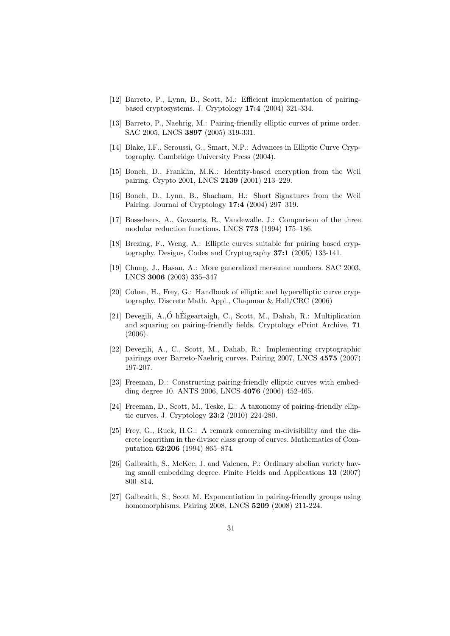- [12] Barreto, P., Lynn, B., Scott, M.: Efficient implementation of pairingbased cryptosystems. J. Cryptology 17:4 (2004) 321-334.
- [13] Barreto, P., Naehrig, M.: Pairing-friendly elliptic curves of prime order. SAC 2005, LNCS 3897 (2005) 319-331.
- [14] Blake, I.F., Seroussi, G., Smart, N.P.: Advances in Elliptic Curve Cryptography. Cambridge University Press (2004).
- [15] Boneh, D., Franklin, M.K.: Identity-based encryption from the Weil pairing. Crypto 2001, LNCS 2139 (2001) 213–229.
- [16] Boneh, D., Lynn, B., Shacham, H.: Short Signatures from the Weil Pairing. Journal of Cryptology 17:4 (2004) 297–319.
- [17] Bosselaers, A., Govaerts, R., Vandewalle. J.: Comparison of the three modular reduction functions. LNCS 773 (1994) 175–186.
- [18] Brezing, F., Weng, A.: Elliptic curves suitable for pairing based cryptography. Designs, Codes and Cryptography 37:1 (2005) 133-141.
- [19] Chung, J., Hasan, A.: More generalized mersenne numbers. SAC 2003, LNCS 3006 (2003) 335–347
- [20] Cohen, H., Frey, G.: Handbook of elliptic and hyperelliptic curve cryptography, Discrete Math. Appl., Chapman & Hall/CRC (2006)
- [21] Devegili, A.,Ó hÉigeartaigh, C., Scott, M., Dahab, R.: Multiplication and squaring on pairing-friendly fields. Cryptology ePrint Archive, 71 (2006).
- [22] Devegili, A., C., Scott, M., Dahab, R.: Implementing cryptographic pairings over Barreto-Naehrig curves. Pairing 2007, LNCS 4575 (2007) 197-207.
- [23] Freeman, D.: Constructing pairing-friendly elliptic curves with embedding degree 10. ANTS 2006, LNCS 4076 (2006) 452-465.
- [24] Freeman, D., Scott, M., Teske, E.: A taxonomy of pairing-friendly elliptic curves. J. Cryptology 23:2 (2010) 224-280.
- [25] Frey, G., Ruck, H.G.: A remark concerning m-divisibility and the discrete logarithm in the divisor class group of curves. Mathematics of Computation 62:206 (1994) 865–874.
- [26] Galbraith, S., McKee, J. and Valenca, P.: Ordinary abelian variety having small embedding degree. Finite Fields and Applications 13 (2007) 800–814.
- [27] Galbraith, S., Scott M. Exponentiation in pairing-friendly groups using homomorphisms. Pairing 2008, LNCS 5209 (2008) 211-224.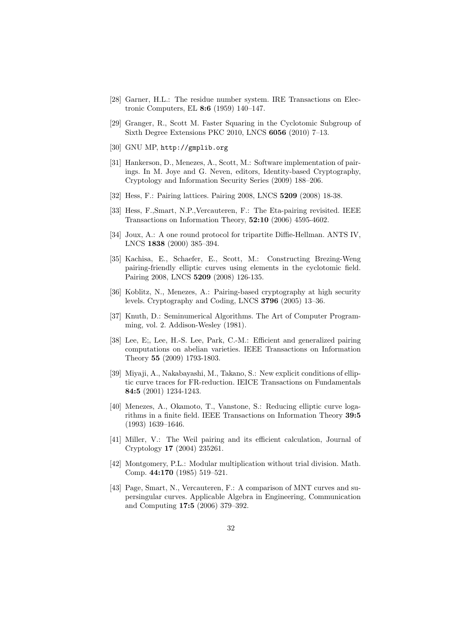- [28] Garner, H.L.: The residue number system. IRE Transactions on Electronic Computers, EL 8:6 (1959) 140–147.
- [29] Granger, R., Scott M. Faster Squaring in the Cyclotomic Subgroup of Sixth Degree Extensions PKC 2010, LNCS 6056 (2010) 7–13.
- [30] GNU MP, http://gmplib.org
- [31] Hankerson, D., Menezes, A., Scott, M.: Software implementation of pairings. In M. Joye and G. Neven, editors, Identity-based Cryptography, Cryptology and Information Security Series (2009) 188–206.
- [32] Hess, F.: Pairing lattices. Pairing 2008, LNCS **5209** (2008) 18-38.
- [33] Hess, F.,Smart, N.P.,Vercauteren, F.: The Eta-pairing revisited. IEEE Transactions on Information Theory, 52:10 (2006) 4595-4602.
- [34] Joux, A.: A one round protocol for tripartite Diffie-Hellman. ANTS IV, LNCS 1838 (2000) 385–394.
- [35] Kachisa, E., Schaefer, E., Scott, M.: Constructing Brezing-Weng pairing-friendly elliptic curves using elements in the cyclotomic field. Pairing 2008, LNCS 5209 (2008) 126-135.
- [36] Koblitz, N., Menezes, A.: Pairing-based cryptography at high security levels. Cryptography and Coding, LNCS 3796 (2005) 13–36.
- [37] Knuth, D.: Seminumerical Algorithms. The Art of Computer Programming, vol. 2. Addison-Wesley (1981).
- [38] Lee, E;, Lee, H.-S. Lee, Park, C.-M.: Efficient and generalized pairing computations on abelian varieties. IEEE Transactions on Information Theory 55 (2009) 1793-1803.
- [39] Miyaji, A., Nakabayashi, M., Takano, S.: New explicit conditions of elliptic curve traces for FR-reduction. IEICE Transactions on Fundamentals 84:5 (2001) 1234-1243.
- [40] Menezes, A., Okamoto, T., Vanstone, S.: Reducing elliptic curve logarithms in a finite field. IEEE Transactions on Information Theory 39:5 (1993) 1639–1646.
- [41] Miller, V.: The Weil pairing and its efficient calculation, Journal of Cryptology 17 (2004) 235261.
- [42] Montgomery, P.L.: Modular multiplication without trial division. Math. Comp. 44:170 (1985) 519–521.
- [43] Page, Smart, N., Vercauteren, F.: A comparison of MNT curves and supersingular curves. Applicable Algebra in Engineering, Communication and Computing 17:5 (2006) 379–392.